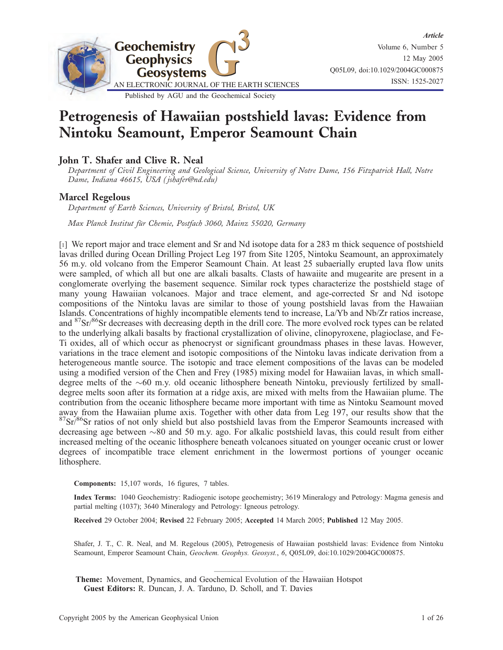

# Petrogenesis of Hawaiian postshield lavas: Evidence from Nintoku Seamount, Emperor Seamount Chain

# John T. Shafer and Clive R. Neal

Department of Civil Engineering and Geological Science, University of Notre Dame, 156 Fitzpatrick Hall, Notre Dame, Indiana 46615, USA ( jshafer@nd.edu)

#### Marcel Regelous

Department of Earth Sciences, University of Bristol, Bristol, UK

Max Planck Institut für Chemie, Postfach 3060, Mainz 55020, Germany

[1] We report major and trace element and Sr and Nd isotope data for a 283 m thick sequence of postshield lavas drilled during Ocean Drilling Project Leg 197 from Site 1205, Nintoku Seamount, an approximately 56 m.y. old volcano from the Emperor Seamount Chain. At least 25 subaerially erupted lava flow units were sampled, of which all but one are alkali basalts. Clasts of hawaiite and mugearite are present in a conglomerate overlying the basement sequence. Similar rock types characterize the postshield stage of many young Hawaiian volcanoes. Major and trace element, and age-corrected Sr and Nd isotope compositions of the Nintoku lavas are similar to those of young postshield lavas from the Hawaiian Islands. Concentrations of highly incompatible elements tend to increase, La/Yb and Nb/Zr ratios increase, and <sup>87</sup>Sr/<sup>86</sup>Sr decreases with decreasing depth in the drill core. The more evolved rock types can be related to the underlying alkali basalts by fractional crystallization of olivine, clinopyroxene, plagioclase, and Fe-Ti oxides, all of which occur as phenocryst or significant groundmass phases in these lavas. However, variations in the trace element and isotopic compositions of the Nintoku lavas indicate derivation from a heterogeneous mantle source. The isotopic and trace element compositions of the lavas can be modeled using a modified version of the Chen and Frey (1985) mixing model for Hawaiian lavas, in which smalldegree melts of the  $\sim 60$  m.y. old oceanic lithosphere beneath Nintoku, previously fertilized by smalldegree melts soon after its formation at a ridge axis, are mixed with melts from the Hawaiian plume. The contribution from the oceanic lithosphere became more important with time as Nintoku Seamount moved away from the Hawaiian plume axis. Together with other data from Leg 197, our results show that the  $87\text{Sr}/86\text{Sr}$  ratios of not only shield but also postshield lavas from the Emperor Seamounts increased with decreasing age between  $\sim 80$  and 50 m.y. ago. For alkalic postshield lavas, this could result from either increased melting of the oceanic lithosphere beneath volcanoes situated on younger oceanic crust or lower degrees of incompatible trace element enrichment in the lowermost portions of younger oceanic lithosphere.

Components: 15,107 words, 16 figures, 7 tables.

Index Terms: 1040 Geochemistry: Radiogenic isotope geochemistry; 3619 Mineralogy and Petrology: Magma genesis and partial melting (1037); 3640 Mineralogy and Petrology: Igneous petrology.

Received 29 October 2004; Revised 22 February 2005; Accepted 14 March 2005; Published 12 May 2005.

Shafer, J. T., C. R. Neal, and M. Regelous (2005), Petrogenesis of Hawaiian postshield lavas: Evidence from Nintoku Seamount, Emperor Seamount Chain, Geochem. Geophys. Geosyst., 6, Q05L09, doi:10.1029/2004GC000875.

————————————

Theme: Movement, Dynamics, and Geochemical Evolution of the Hawaiian Hotspot Guest Editors: R. Duncan, J. A. Tarduno, D. Scholl, and T. Davies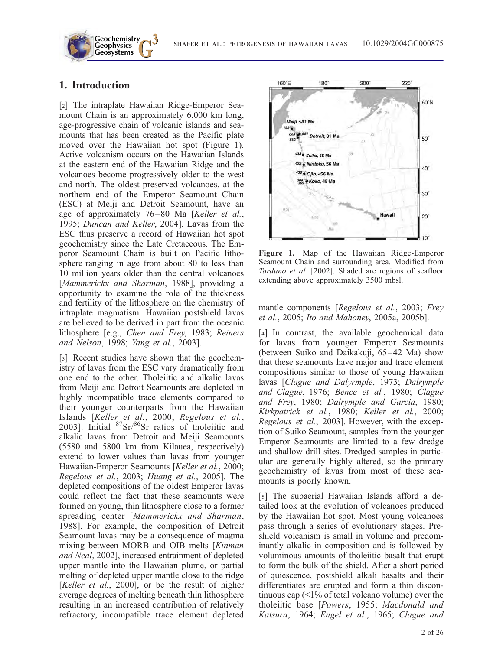# 1. Introduction

**Geochemistry Geophysics**

[2] The intraplate Hawaiian Ridge-Emperor Seamount Chain is an approximately 6,000 km long, age-progressive chain of volcanic islands and seamounts that has been created as the Pacific plate moved over the Hawaiian hot spot (Figure 1). Active volcanism occurs on the Hawaiian Islands at the eastern end of the Hawaiian Ridge and the volcanoes become progressively older to the west and north. The oldest preserved volcanoes, at the northern end of the Emperor Seamount Chain (ESC) at Meiji and Detroit Seamount, have an age of approximately 76–80 Ma [Keller et al., 1995; Duncan and Keller, 2004]. Lavas from the ESC thus preserve a record of Hawaiian hot spot geochemistry since the Late Cretaceous. The Emperor Seamount Chain is built on Pacific lithosphere ranging in age from about 80 to less than 10 million years older than the central volcanoes [Mammerickx and Sharman, 1988], providing a opportunity to examine the role of the thickness and fertility of the lithosphere on the chemistry of intraplate magmatism. Hawaiian postshield lavas are believed to be derived in part from the oceanic lithosphere [e.g., Chen and Frey, 1983; Reiners and Nelson, 1998; Yang et al., 2003].

[3] Recent studies have shown that the geochemistry of lavas from the ESC vary dramatically from one end to the other. Tholeiitic and alkalic lavas from Meiji and Detroit Seamounts are depleted in highly incompatible trace elements compared to their younger counterparts from the Hawaiian Islands [Keller et al., 2000; Regelous et al., 2003]. Initial  ${}^{87}Sr/{}^{86}Sr$  ratios of tholeiitic and alkalic lavas from Detroit and Meiji Seamounts (5580 and 5800 km from Kilauea, respectively) extend to lower values than lavas from younger Hawaiian-Emperor Seamounts [Keller et al., 2000; Regelous et al., 2003; Huang et al., 2005]. The depleted compositions of the oldest Emperor lavas could reflect the fact that these seamounts were formed on young, thin lithosphere close to a former spreading center [Mammerickx and Sharman, 1988]. For example, the composition of Detroit Seamount lavas may be a consequence of magma mixing between MORB and OIB melts [Kinman and Neal, 2002], increased entrainment of depleted upper mantle into the Hawaiian plume, or partial melting of depleted upper mantle close to the ridge [Keller et al., 2000], or be the result of higher average degrees of melting beneath thin lithosphere resulting in an increased contribution of relatively refractory, incompatible trace element depleted



Figure 1. Map of the Hawaiian Ridge-Emperor Seamount Chain and surrounding area. Modified from Tarduno et al. [2002]. Shaded are regions of seafloor extending above approximately 3500 mbsl.

mantle components [Regelous et al., 2003; Frey et al., 2005; Ito and Mahoney, 2005a, 2005b].

[4] In contrast, the available geochemical data for lavas from younger Emperor Seamounts (between Suiko and Daikakuji, 65–42 Ma) show that these seamounts have major and trace element compositions similar to those of young Hawaiian lavas [Clague and Dalyrmple, 1973; Dalrymple and Clague, 1976; Bence et al., 1980; Clague and Frey, 1980; Dalrymple and Garcia, 1980; Kirkpatrick et al., 1980; Keller et al., 2000; Regelous et al., 2003]. However, with the exception of Suiko Seamount, samples from the younger Emperor Seamounts are limited to a few dredge and shallow drill sites. Dredged samples in particular are generally highly altered, so the primary geochemistry of lavas from most of these seamounts is poorly known.

[5] The subaerial Hawaiian Islands afford a detailed look at the evolution of volcanoes produced by the Hawaiian hot spot. Most young volcanoes pass through a series of evolutionary stages. Preshield volcanism is small in volume and predominantly alkalic in composition and is followed by voluminous amounts of tholeiitic basalt that erupt to form the bulk of the shield. After a short period of quiescence, postshield alkali basalts and their differentiates are erupted and form a thin discontinuous cap  $\left( \langle 1\% \rangle$  of total volcano volume) over the tholeiitic base [Powers, 1955; Macdonald and Katsura, 1964; Engel et al., 1965; Clague and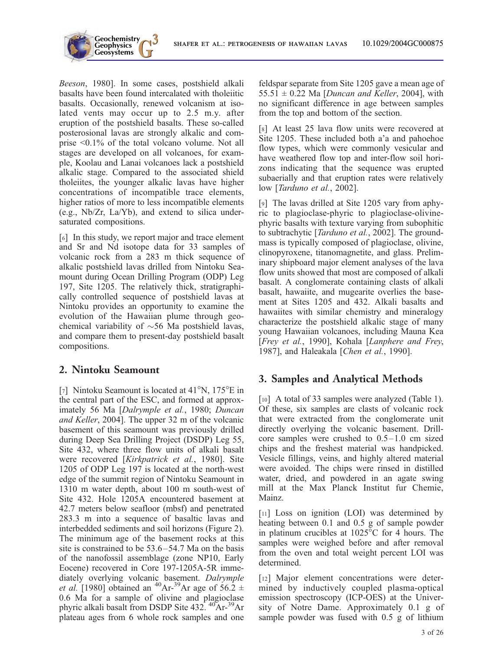

Beeson, 1980]. In some cases, postshield alkali basalts have been found intercalated with tholeiitic basalts. Occasionally, renewed volcanism at isolated vents may occur up to 2.5 m.y. after eruption of the postshield basalts. These so-called posterosional lavas are strongly alkalic and comprise <0.1% of the total volcano volume. Not all stages are developed on all volcanoes, for example, Koolau and Lanai volcanoes lack a postshield alkalic stage. Compared to the associated shield tholeiites, the younger alkalic lavas have higher concentrations of incompatible trace elements, higher ratios of more to less incompatible elements (e.g., Nb/Zr, La/Yb), and extend to silica undersaturated compositions.

**Geochemistry Geophysics**

[6] In this study, we report major and trace element and Sr and Nd isotope data for 33 samples of volcanic rock from a 283 m thick sequence of alkalic postshield lavas drilled from Nintoku Seamount during Ocean Drilling Program (ODP) Leg 197, Site 1205. The relatively thick, stratigraphically controlled sequence of postshield lavas at Nintoku provides an opportunity to examine the evolution of the Hawaiian plume through geochemical variability of  $\sim$ 56 Ma postshield lavas, and compare them to present-day postshield basalt compositions.

# 2. Nintoku Seamount

[7] Nintoku Seamount is located at  $41^{\circ}$ N,  $175^{\circ}$ E in the central part of the ESC, and formed at approximately 56 Ma [Dalrymple et al., 1980; Duncan and Keller, 2004]. The upper 32 m of the volcanic basement of this seamount was previously drilled during Deep Sea Drilling Project (DSDP) Leg 55, Site 432, where three flow units of alkali basalt were recovered [Kirkpatrick et al., 1980]. Site 1205 of ODP Leg 197 is located at the north-west edge of the summit region of Nintoku Seamount in 1310 m water depth, about 100 m south-west of Site 432. Hole 1205A encountered basement at 42.7 meters below seafloor (mbsf) and penetrated 283.3 m into a sequence of basaltic lavas and interbedded sediments and soil horizons (Figure 2). The minimum age of the basement rocks at this site is constrained to be 53.6–54.7 Ma on the basis of the nanofossil assemblage (zone NP10, Early Eocene) recovered in Core 197-1205A-5R immediately overlying volcanic basement. Dalrymple *et al.* [1980] obtained an <sup>40</sup>Ar-<sup>39</sup>Ar age of 56.2  $\pm$ 0.6 Ma for a sample of olivine and plagioclase phyric alkali basalt from DSDP Site 432.<sup>40</sup>Ar-<sup>39</sup>Ar plateau ages from 6 whole rock samples and one

feldspar separate from Site 1205 gave a mean age of 55.51  $\pm$  0.22 Ma [Duncan and Keller, 2004], with no significant difference in age between samples from the top and bottom of the section.

[8] At least 25 lava flow units were recovered at Site 1205. These included both a'a and pahoehoe flow types, which were commonly vesicular and have weathered flow top and inter-flow soil horizons indicating that the sequence was erupted subaerially and that eruption rates were relatively low [Tarduno et al., 2002].

[9] The lavas drilled at Site 1205 vary from aphyric to plagioclase-phyric to plagioclase-olivinephyric basalts with texture varying from subophitic to subtrachytic [*Tarduno et al.*, 2002]. The groundmass is typically composed of plagioclase, olivine, clinopyroxene, titanomagnetite, and glass. Preliminary shipboard major element analyses of the lava flow units showed that most are composed of alkali basalt. A conglomerate containing clasts of alkali basalt, hawaiite, and mugearite overlies the basement at Sites 1205 and 432. Alkali basalts and hawaiites with similar chemistry and mineralogy characterize the postshield alkalic stage of many young Hawaiian volcanoes, including Mauna Kea [Frey et al., 1990], Kohala [Lanphere and Frey, 1987], and Haleakala [Chen et al., 1990].

# 3. Samples and Analytical Methods

[10] A total of 33 samples were analyzed (Table 1). Of these, six samples are clasts of volcanic rock that were extracted from the conglomerate unit directly overlying the volcanic basement. Drillcore samples were crushed to 0.5–1.0 cm sized chips and the freshest material was handpicked. Vesicle fillings, veins, and highly altered material were avoided. The chips were rinsed in distilled water, dried, and powdered in an agate swing mill at the Max Planck Institut fur Chemie, Mainz.

[11] Loss on ignition (LOI) was determined by heating between 0.1 and 0.5 g of sample powder in platinum crucibles at  $1025^{\circ}$ C for 4 hours. The samples were weighed before and after removal from the oven and total weight percent LOI was determined.

[12] Major element concentrations were determined by inductively coupled plasma-optical emission spectroscopy (ICP-OES) at the University of Notre Dame. Approximately 0.1 g of sample powder was fused with 0.5 g of lithium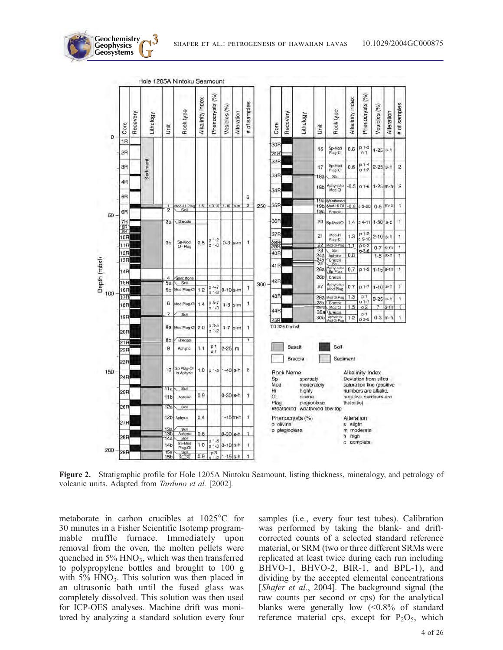

Figure 2. Stratigraphic profile for Hole 1205A Nintoku Seamount, listing thickness, mineralogy, and petrology of volcanic units. Adapted from Tarduno et al. [2002].

metaborate in carbon crucibles at  $1025^{\circ}$ C for 30 minutes in a Fisher Scientific Isotemp programmable muffle furnace. Immediately upon removal from the oven, the molten pellets were quenched in  $5\%$  HNO<sub>3</sub>, which was then transferred to polypropylene bottles and brought to 100 g with  $5\%$  HNO<sub>3</sub>. This solution was then placed in an ultrasonic bath until the fused glass was completely dissolved. This solution was then used for ICP-OES analyses. Machine drift was monitored by analyzing a standard solution every four

**Geochemistry Geophysics**

> samples (i.e., every four test tubes). Calibration was performed by taking the blank- and driftcorrected counts of a selected standard reference material, or SRM (two or three different SRMs were replicated at least twice during each run including BHVO-1, BHVO-2, BIR-1, and BPL-1), and dividing by the accepted elemental concentrations [Shafer et al., 2004]. The background signal (the raw counts per second or cps) for the analytical blanks were generally low  $\langle 0.8\% \rangle$  of standard reference material cps, except for  $P_2O_5$ , which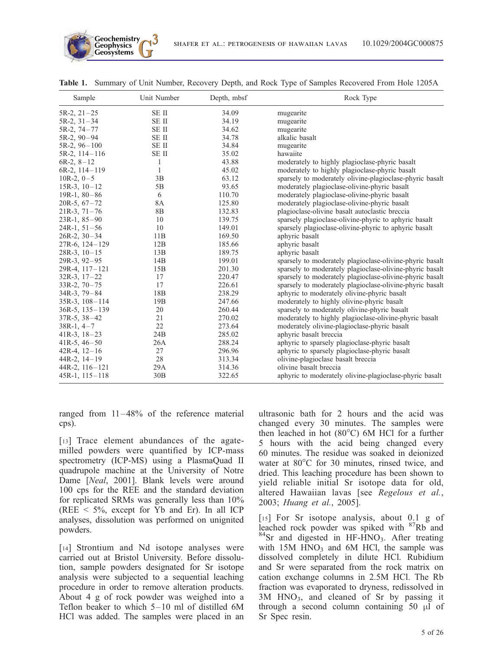| Sample              | Unit Number     | Depth, mbsf | Rock Type                                                |
|---------------------|-----------------|-------------|----------------------------------------------------------|
| $5R-2, 21-25$       | SE II           | 34.09       | mugearite                                                |
| $5R-2$ , $31-34$    | SE II           | 34.19       | mugearite                                                |
| 5R-2, 74-77         | SE II           | 34.62       | mugearite                                                |
| $5R-2$ , $90-94$    | SE II           | 34.78       | alkalic basalt                                           |
| $5R-2$ , $96-100$   | SE II           | 34.84       | mugearite                                                |
| $5R-2$ , $114-116$  | <b>SEII</b>     | 35.02       | hawaiite                                                 |
| $6R-2$ , $8-12$     | 1               | 43.88       | moderately to highly plagioclase-phyric basalt           |
| $6R-2$ , $114-119$  | 1               | 45.02       | moderately to highly plagioclase-phyric basalt           |
| $10R-2, 0-5$        | 3B              | 63.12       | sparsely to moderately olivine-plagioclase-phyric basalt |
| $15R-3$ , $10-12$   | 5B              | 93.65       | moderately plagioclase-olivine-phyric basalt             |
| 19R-1, $80 - 86$    | 6               | 110.70      | moderately plagioclase-olivine-phyric basalt             |
| $20R-5, 67-72$      | <b>8A</b>       | 125.80      | moderately plagioclase-olivine-phyric basalt             |
| $21R-3$ , $71-76$   | 8 <sub>B</sub>  | 132.83      | plagioclase-olivine basalt autoclastic breccia           |
| $23R-1, 85-90$      | 10              | 139.75      | sparsely plagioclase-olivine-phyric to aphyric basalt    |
| $24R-1, 51-56$      | 10              | 149.01      | sparsely plagioclase-olivine-phyric to aphyric basalt    |
| $26R-2, 30-34$      | 11B             | 169.50      | aphyric basalt                                           |
| 27R-6, 124-129      | 12B             | 185.66      | aphyric basalt                                           |
| $28R-3$ , $10-15$   | 13B             | 189.75      | aphyric basalt                                           |
| $29R-3, 92-95$      | 14B             | 199.01      | sparsely to moderately plagioclase-olivine-phyric basalt |
| 29R-4, 117-121      | 15B             | 201.30      | sparsely to moderately plagioclase-olivine-phyric basalt |
| $32R-3$ , $17-22$   | 17              | 220.47      | sparsely to moderately plagioclase-olivine-phyric basalt |
| $33R-2$ , $70-75$   | 17              | 226.61      | sparsely to moderately plagioclase-olivine-phyric basalt |
| $34R-3$ , $79-84$   | 18 <sub>B</sub> | 238.29      | aphyric to moderately olivine-phyric basalt              |
| $35R-3$ , $108-114$ | 19 <sub>B</sub> | 247.66      | moderately to highly olivine-phyric basalt               |
| $36R-5$ , $135-139$ | 20              | 260.44      | sparsely to moderately olivine-phyric basalt             |
| $37R-5$ , $38-42$   | 21              | 270.02      | moderately to highly plagioclase-olivine-phyric basalt   |
| $38R-1, 4-7$        | 22              | 273.64      | moderately olivine-plagioclase-phyric basalt             |
| $41R-3$ , $18-23$   | 24B             | 285.02      | aphyric basalt breccia                                   |
| $41R-5$ , $46-50$   | 26A             | 288.24      | aphyric to sparsely plagioclase-phyric basalt            |
| 42R-4, $12-16$      | 27              | 296.96      | aphyric to sparsely plagioclase-phyric basalt            |
| $44R-2, 14-19$      | 28              | 313.34      | olivine-plagioclase basalt breccia                       |
| $44R-2$ , $116-121$ | 29A             | 314.36      | olivine basalt breccia                                   |
| $45R-1$ , $115-118$ | 30B             | 322.65      | aphyric to moderately olivine-plagioclase-phyric basalt  |

Table 1. Summary of Unit Number, Recovery Depth, and Rock Type of Samples Recovered From Hole 1205A

ranged from 11–48% of the reference material cps).

[13] Trace element abundances of the agatemilled powders were quantified by ICP-mass spectrometry (ICP-MS) using a PlasmaQuad II quadrupole machine at the University of Notre Dame [Neal, 2001]. Blank levels were around 100 cps for the REE and the standard deviation for replicated SRMs was generally less than 10% (REE  $\leq$  5%, except for Yb and Er). In all ICP analyses, dissolution was performed on unignited powders.

[14] Strontium and Nd isotope analyses were carried out at Bristol University. Before dissolution, sample powders designated for Sr isotope analysis were subjected to a sequential leaching procedure in order to remove alteration products. About 4 g of rock powder was weighed into a Teflon beaker to which 5–10 ml of distilled 6M HCl was added. The samples were placed in an ultrasonic bath for 2 hours and the acid was changed every 30 minutes. The samples were then leached in hot  $(80^{\circ}C)$  6M HCl for a further 5 hours with the acid being changed every 60 minutes. The residue was soaked in deionized water at  $80^{\circ}$ C for 30 minutes, rinsed twice, and dried. This leaching procedure has been shown to yield reliable initial Sr isotope data for old, altered Hawaiian lavas [see Regelous et al., 2003; Huang et al., 2005].

[15] For Sr isotope analysis, about 0.1 g of leached rock powder was spiked with 87Rb and  $84$ Sr and digested in HF-HNO<sub>3</sub>. After treating with  $15M$  HNO<sub>3</sub> and  $6M$  HCl, the sample was dissolved completely in dilute HCl. Rubidium and Sr were separated from the rock matrix on cation exchange columns in 2.5M HCl. The Rb fraction was evaporated to dryness, redissolved in 3M HNO3, and cleaned of Sr by passing it through a second column containing  $50 \mu l$  of Sr Spec resin.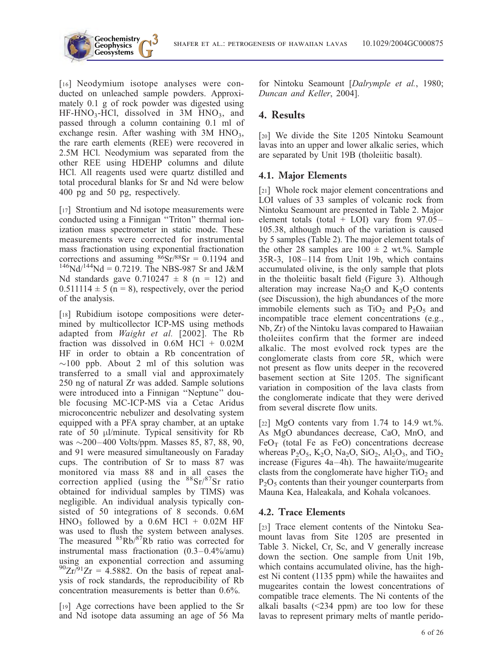

[16] Neodymium isotope analyses were conducted on unleached sample powders. Approximately 0.1 g of rock powder was digested using  $HF-HNO<sub>3</sub>-HCl$ , dissolved in 3M  $HNO<sub>3</sub>$ , and passed through a column containing 0.1 ml of exchange resin. After washing with  $3M HNO<sub>3</sub>$ , the rare earth elements (REE) were recovered in 2.5M HCl. Neodymium was separated from the other REE using HDEHP columns and dilute HCl. All reagents used were quartz distilled and total procedural blanks for Sr and Nd were below 400 pg and 50 pg, respectively.

**Geochemistry Geophysics**

[17] Strontium and Nd isotope measurements were conducted using a Finnigan ''Triton'' thermal ionization mass spectrometer in static mode. These measurements were corrected for instrumental mass fractionation using exponential fractionation corrections and assuming  $86$ Sr/ $88$ Sr = 0.1194 and  $146$ Nd/<sup>144</sup>Nd = 0.7219. The NBS-987 Sr and J&M Nd standards gave  $0.710247 \pm 8$  (n = 12) and  $0.511114 \pm 5$  (n = 8), respectively, over the period of the analysis.

[18] Rubidium isotope compositions were determined by multicollector ICP-MS using methods adapted from Waight et al. [2002]. The Rb fraction was dissolved in 0.6M HCl + 0.02M HF in order to obtain a Rb concentration of  $\sim$ 100 ppb. About 2 ml of this solution was transferred to a small vial and approximately 250 ng of natural Zr was added. Sample solutions were introduced into a Finnigan ''Neptune'' double focusing MC-ICP-MS via a Cetac Aridus microconcentric nebulizer and desolvating system equipped with a PFA spray chamber, at an uptake rate of 50 µl/minute. Typical sensitivity for Rb was  $\sim$ 200–400 Volts/ppm. Masses 85, 87, 88, 90, and 91 were measured simultaneously on Faraday cups. The contribution of Sr to mass 87 was monitored via mass 88 and in all cases the correction applied (using the  $88$ Sr/ $87$ Sr ratio obtained for individual samples by TIMS) was negligible. An individual analysis typically consisted of 50 integrations of 8 seconds. 0.6M  $HNO<sub>3</sub>$  followed by a 0.6M HCl + 0.02M HF was used to flush the system between analyses. The measured <sup>85</sup>Rb/<sup>87</sup>Rb ratio was corrected for instrumental mass fractionation (0.3–0.4%/amu) using an exponential correction and assuming  $^{90}Zr^{91}Zr = 4.5882$ . On the basis of repeat analysis of rock standards, the reproducibility of Rb concentration measurements is better than 0.6%.

[19] Age corrections have been applied to the Sr and Nd isotope data assuming an age of 56 Ma for Nintoku Seamount [Dalrymple et al., 1980; Duncan and Keller, 2004].

## 4. Results

[20] We divide the Site 1205 Nintoku Seamount lavas into an upper and lower alkalic series, which are separated by Unit 19B (tholeiitic basalt).

#### 4.1. Major Elements

[21] Whole rock major element concentrations and LOI values of 33 samples of volcanic rock from Nintoku Seamount are presented in Table 2. Major element totals (total + LOI) vary from  $97.05-$ 105.38, although much of the variation is caused by 5 samples (Table 2). The major element totals of the other 28 samples are  $100 \pm 2$  wt.%. Sample 35R-3, 108–114 from Unit 19b, which contains accumulated olivine, is the only sample that plots in the tholeiitic basalt field (Figure 3). Although alteration may increase  $Na<sub>2</sub>O$  and  $K<sub>2</sub>O$  contents (see Discussion), the high abundances of the more immobile elements such as  $TiO<sub>2</sub>$  and  $P<sub>2</sub>O<sub>5</sub>$  and incompatible trace element concentrations (e.g., Nb, Zr) of the Nintoku lavas compared to Hawaiian tholeiites confirm that the former are indeed alkalic. The most evolved rock types are the conglomerate clasts from core 5R, which were not present as flow units deeper in the recovered basement section at Site 1205. The significant variation in composition of the lava clasts from the conglomerate indicate that they were derived from several discrete flow units.

[22] MgO contents vary from 1.74 to 14.9 wt.%. As MgO abundances decrease, CaO, MnO, and  $FeO<sub>T</sub>$  (total Fe as FeO) concentrations decrease whereas  $P_2O_5$ ,  $K_2O$ ,  $Na_2O$ ,  $SiO_2$ ,  $Al_2O_3$ , and  $TiO_2$ increase (Figures 4a–4h). The hawaiite/mugearite clasts from the conglomerate have higher  $TiO<sub>2</sub>$  and  $P<sub>2</sub>O<sub>5</sub>$  contents than their younger counterparts from Mauna Kea, Haleakala, and Kohala volcanoes.

### 4.2. Trace Elements

[23] Trace element contents of the Nintoku Seamount lavas from Site 1205 are presented in Table 3. Nickel, Cr, Sc, and V generally increase down the section. One sample from Unit 19b, which contains accumulated olivine, has the highest Ni content (1135 ppm) while the hawaiites and mugearites contain the lowest concentrations of compatible trace elements. The Ni contents of the alkali basalts  $(\leq 234$  ppm) are too low for these lavas to represent primary melts of mantle perido-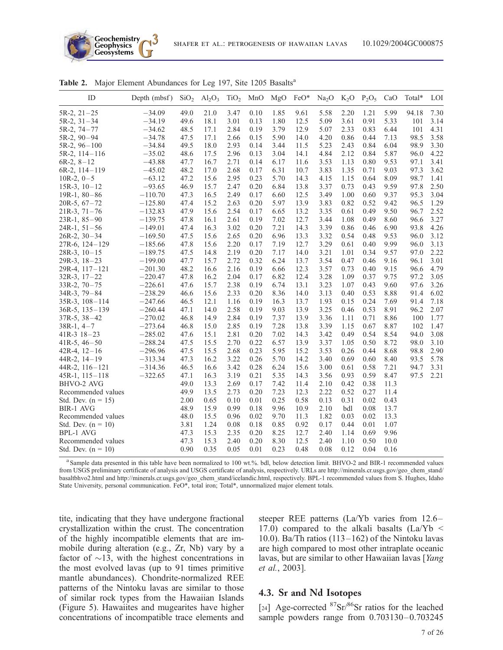

| ID                   | Depth (mbsf) | SiO <sub>2</sub> | Al <sub>2</sub> O <sub>3</sub> | TiO <sub>2</sub> | MnO  | MgO  | FeO* | Na <sub>2</sub> O | $K_2O$ | $P_2O_5$ | CaO  | Total* | LOI  |
|----------------------|--------------|------------------|--------------------------------|------------------|------|------|------|-------------------|--------|----------|------|--------|------|
| $5R-2, 21-25$        | $-34.09$     | 49.0             | 21.0                           | 3.47             | 0.10 | 1.85 | 9.61 | 5.58              | 2.20   | 1.21     | 5.99 | 94.18  | 7.30 |
| $5R-2$ , $31-34$     | $-34.19$     | 49.6             | 18.1                           | 3.01             | 0.13 | 1.80 | 12.5 | 5.09              | 3.61   | 0.91     | 5.33 | 101    | 3.14 |
| 5R-2, 74-77          | $-34.62$     | 48.5             | 17.1                           | 2.84             | 0.19 | 3.79 | 12.9 | 5.07              | 2.33   | 0.83     | 6.44 | 101    | 4.31 |
| $5R-2$ , $90-94$     | $-34.78$     | 47.5             | 17.1                           | 2.66             | 0.15 | 5.90 | 14.0 | 4.20              | 0.86   | 0.44     | 7.13 | 98.5   | 3.58 |
| $5R-2, 96-100$       | $-34.84$     | 49.5             | 18.0                           | 2.93             | 0.14 | 3.44 | 11.5 | 5.23              | 2.43   | 0.84     | 6.04 | 98.9   | 3.30 |
| 5R-2, 114-116        | $-35.02$     | 48.6             | 17.5                           | 2.96             | 0.13 | 3.04 | 14.1 | 4.84              | 2.12   | 0.84     | 5.87 | 96.0   | 4.22 |
| $6R-2, 8-12$         | $-43.88$     | 47.7             | 16.7                           | 2.71             | 0.14 | 6.17 | 11.6 | 3.53              | 1.13   | 0.80     | 9.53 | 97.1   | 3.41 |
| $6R-2$ , $114-119$   | $-45.02$     | 48.2             | 17.0                           | 2.68             | 0.17 | 6.31 | 10.7 | 3.83              | 1.35   | 0.71     | 9.03 | 97.3   | 3.62 |
| $10R-2, 0-5$         | $-63.12$     | 47.2             | 15.6                           | 2.95             | 0.23 | 5.70 | 14.3 | 4.15              | 1.15   | 0.64     | 8.09 | 98.7   | 1.41 |
| $15R-3$ , $10-12$    | $-93.65$     | 46.9             | 15.7                           | 2.47             | 0.20 | 6.84 | 13.8 | 3.37              | 0.73   | 0.43     | 9.59 | 97.8   | 2.50 |
| $19R-1, 80-86$       | $-110.70$    | 47.3             | 16.5                           | 2.49             | 0.17 | 6.60 | 12.5 | 3.49              | 1.00   | 0.60     | 9.37 | 95.3   | 3.04 |
| $20R-5, 67-72$       | $-125.80$    | 47.4             | 15.2                           | 2.63             | 0.20 | 5.97 | 13.9 | 3.83              | 0.82   | 0.52     | 9.42 | 96.5   | 1.29 |
| $21R-3$ , $71-76$    | $-132.83$    | 47.9             | 15.6                           | 2.54             | 0.17 | 6.65 | 13.2 | 3.35              | 0.61   | 0.49     | 9.50 | 96.7   | 2.52 |
| $23R-1, 85-90$       | $-139.75$    | 47.8             | 16.1                           | 2.61             | 0.19 | 7.02 | 12.7 | 3.44              | 1.08   | 0.49     | 8.60 | 96.6   | 3.27 |
| $24R-1, 51-56$       | $-149.01$    | 47.4             | 16.3                           | 3.02             | 0.20 | 7.21 | 14.3 | 3.39              | 0.86   | 0.46     | 6.90 | 93.8   | 4.26 |
| $26R-2$ , $30-34$    | $-169.50$    | 47.5             | 15.6                           | 2.65             | 0.20 | 6.96 | 13.3 | 3.32              | 0.54   | 0.48     | 9.53 | 96.0   | 3.12 |
| 27R-6, 124-129       | $-185.66$    | 47.8             | 15.6                           | 2.20             | 0.17 | 7.19 | 12.7 | 3.29              | 0.61   | 0.40     | 9.99 | 96.0   | 3.13 |
| $28R-3$ , $10-15$    | $-189.75$    | 47.5             | 14.8                           | 2.19             | 0.20 | 7.17 | 14.0 | 3.21              | 1.01   | 0.34     | 9.57 | 97.0   | 2.22 |
| $29R-3, 18-23$       | $-199.00$    | 47.7             | 15.7                           | 2.72             | 0.32 | 6.24 | 13.7 | 3.54              | 0.47   | 0.46     | 9.16 | 96.1   | 3.01 |
| 29R-4, 117-121       | $-201.30$    | 48.2             | 16.6                           | 2.16             | 0.19 | 6.66 | 12.3 | 3.57              | 0.73   | 0.40     | 9.15 | 96.6   | 4.79 |
| $32R-3$ , $17-22$    | $-220.47$    | 47.8             | 16.2                           | 2.04             | 0.17 | 6.82 | 12.4 | 3.28              | 1.09   | 0.37     | 9.75 | 97.2   | 3.05 |
| $33R-2, 70-75$       | $-226.61$    | 47.6             | 15.7                           | 2.38             | 0.19 | 6.74 | 13.1 | 3.23              | 1.07   | 0.43     | 9.60 | 97.6   | 3.26 |
| $34R-3, 79-84$       | $-238.29$    | 46.6             | 15.6                           | 2.33             | 0.20 | 8.36 | 14.0 | 3.13              | 0.40   | 0.53     | 8.88 | 91.4   | 6.02 |
| $35R-3$ , $108-114$  | $-247.66$    | 46.5             | 12.1                           | 1.16             | 0.19 | 16.3 | 13.7 | 1.93              | 0.15   | 0.24     | 7.69 | 91.4   | 7.18 |
| $36R-5$ , $135-139$  | $-260.44$    | 47.1             | 14.0                           | 2.58             | 0.19 | 9.03 | 13.9 | 3.25              | 0.46   | 0.53     | 8.91 | 96.2   | 2.07 |
| $37R-5$ , $38-42$    | $-270.02$    | 46.8             | 14.9                           | 2.84             | 0.19 | 7.37 | 13.9 | 3.36              | 1.11   | 0.71     | 8.86 | 100    | 1.77 |
| $38R-1, 4-7$         | $-273.64$    | 46.8             | 15.0                           | 2.85             | 0.19 | 7.28 | 13.8 | 3.39              | 1.15   | 0.67     | 8.87 | 102    | 1.47 |
| $41R-3$ $18-23$      | $-285.02$    | 47.6             | 15.1                           | 2.81             | 0.20 | 7.02 | 14.3 | 3.42              | 0.49   | 0.54     | 8.54 | 94.0   | 3.08 |
| $41R-5, 46-50$       | $-288.24$    | 47.5             | 15.5                           | 2.70             | 0.22 | 6.57 | 13.9 | 3.37              | 1.05   | 0.50     | 8.72 | 98.0   | 3.10 |
| $42R-4$ , $12-16$    | $-296.96$    | 47.5             | 15.5                           | 2.68             | 0.23 | 5.95 | 15.2 | 3.53              | 0.26   | 0.44     | 8.68 | 98.8   | 2.90 |
| $44R-2$ , $14-19$    | $-313.34$    | 47.3             | 16.2                           | 3.22             | 0.26 | 5.70 | 14.2 | 3.40              | 0.69   | 0.60     | 8.40 | 93.5   | 5.78 |
| $44R-2$ , $116-121$  | $-314.36$    | 46.5             | 16.6                           | 3.42             | 0.28 | 6.24 | 15.6 | 3.00              | 0.61   | 0.58     | 7.21 | 94.7   | 3.31 |
| $45R-1$ , $115-118$  | $-322.65$    | 47.1             | 16.3                           | 3.19             | 0.21 | 5.35 | 14.3 | 3.56              | 0.93   | 0.59     | 8.47 | 97.5   | 2.21 |
| BHVO-2 AVG           |              | 49.0             | 13.3                           | 2.69             | 0.17 | 7.42 | 11.4 | 2.10              | 0.42   | 0.38     | 11.3 |        |      |
| Recommended values   |              | 49.9             | 13.5                           | 2.73             | 0.20 | 7.23 | 12.3 | 2.22              | 0.52   | 0.27     | 11.4 |        |      |
| Std. Dev. $(n = 15)$ |              | 2.00             | 0.65                           | 0.10             | 0.01 | 0.25 | 0.58 | 0.13              | 0.31   | 0.02     | 0.43 |        |      |
| <b>BIR-1 AVG</b>     |              | 48.9             | 15.9                           | 0.99             | 0.18 | 9.96 | 10.9 | 2.10              | bdl    | 0.08     | 13.7 |        |      |
| Recommended values   |              | 48.0             | 15.5                           | 0.96             | 0.02 | 9.70 | 11.3 | 1.82              | 0.03   | 0.02     | 13.3 |        |      |
| Std. Dev. $(n = 10)$ |              | 3.81             | 1.24                           | 0.08             | 0.18 | 0.85 | 0.92 | 0.17              | 0.44   | 0.01     | 1.07 |        |      |
| <b>BPL-1 AVG</b>     |              | 47.3             | 15.3                           | 2.35             | 0.20 | 8.25 | 12.7 | 2.40              | 1.14   | 0.69     | 9.96 |        |      |
| Recommended values   |              | 47.3             | 15.3                           | 2.40             | 0.20 | 8.30 | 12.5 | 2.40              | 1.10   | 0.50     | 10.0 |        |      |
| Std. Dev. $(n = 10)$ |              | 0.90             | 0.35                           | 0.05             | 0.01 | 0.23 | 0.48 | 0.08              | 0.12   | 0.04     | 0.16 |        |      |

Table 2. Major Element Abundances for Leg 197, Site 1205 Basalts<sup>a</sup>

<sup>a</sup> Sample data presented in this table have been normalized to 100 wt.%. bdl, below detection limit. BHVO-2 and BIR-1 recommended values from USGS preliminary certificate of analysis and USGS certificate of analysis, respectively. URLs are http://minerals.cr.usgs.gov/geo\_chem\_stand/ basaltbhvo2.html and http://minerals.cr.usgs.gov/geo\_chem\_stand/icelandic.html, respectively. BPL-1 recommended values from S. Hughes, Idaho State University, personal communication. FeO\*, total iron; Total\*, unnormalized major element totals.

tite, indicating that they have undergone fractional crystallization within the crust. The concentration of the highly incompatible elements that are immobile during alteration (e.g., Zr, Nb) vary by a factor of  $\sim$ 13, with the highest concentrations in the most evolved lavas (up to 91 times primitive mantle abundances). Chondrite-normalized REE patterns of the Nintoku lavas are similar to those of similar rock types from the Hawaiian Islands (Figure 5). Hawaiites and mugearites have higher concentrations of incompatible trace elements and steeper REE patterns (La/Yb varies from 12.6– 17.0) compared to the alkali basalts  $(La/Yb <$ 10.0). Ba/Th ratios (113–162) of the Nintoku lavas are high compared to most other intraplate oceanic lavas, but are similar to other Hawaiian lavas [Yang et al., 2003].

#### 4.3. Sr and Nd Isotopes

[24] Age-corrected  ${}^{87}Sr/{}^{86}Sr$  ratios for the leached sample powders range from 0.703130–0.703245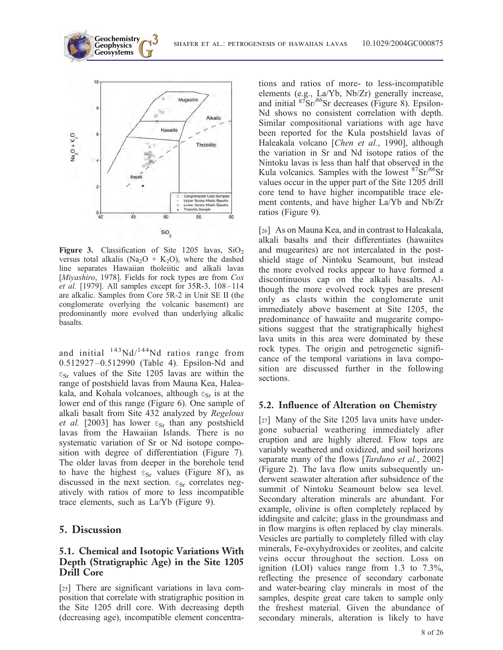

Figure 3. Classification of Site 1205 lavas,  $SiO<sub>2</sub>$ versus total alkalis (Na<sub>2</sub>O + K<sub>2</sub>O), where the dashed line separates Hawaiian tholeiitic and alkali lavas [Miyashiro, 1978]. Fields for rock types are from Cox *et al.* [1979]. All samples except for  $35R-3$ ,  $108-114$ are alkalic. Samples from Core 5R-2 in Unit SE II (the conglomerate overlying the volcanic basement) are predominantly more evolved than underlying alkalic basalts.

and initial  $143Nd/144Nd$  ratios range from 0.512927-0.512990 (Table 4). Epsilon-Nd and  $\varepsilon_{\rm Sr}$  values of the Site 1205 lavas are within the range of postshield lavas from Mauna Kea, Haleakala, and Kohala volcanoes, although  $\epsilon_{Sr}$  is at the lower end of this range (Figure 6). One sample of alkali basalt from Site 432 analyzed by Regelous et al. [2003] has lower  $\varepsilon_{Sr}$  than any postshield lavas from the Hawaiian Islands. There is no systematic variation of Sr or Nd isotope composition with degree of differentiation (Figure 7). The older lavas from deeper in the borehole tend to have the highest  $\varepsilon_{Sr}$  values (Figure 8f), as discussed in the next section.  $\varepsilon_{Sr}$  correlates negatively with ratios of more to less incompatible trace elements, such as La/Yb (Figure 9).

#### 5. Discussion

#### 5.1. Chemical and Isotopic Variations With Depth (Stratigraphic Age) in the Site 1205 Drill Core

[25] There are significant variations in lava composition that correlate with stratigraphic position in the Site 1205 drill core. With decreasing depth (decreasing age), incompatible element concentrations and ratios of more- to less-incompatible elements (e.g., La/Yb, Nb/Zr) generally increase, and initial 87Sr/86Sr decreases (Figure 8). Epsilon-Nd shows no consistent correlation with depth. Similar compositional variations with age have been reported for the Kula postshield lavas of Haleakala volcano [Chen et al., 1990], although the variation in Sr and Nd isotope ratios of the Nintoku lavas is less than half that observed in the Kula volcanics. Samples with the lowest  $87\text{Sr}/86\text{Sr}$ values occur in the upper part of the Site 1205 drill core tend to have higher incompatible trace element contents, and have higher La/Yb and Nb/Zr ratios (Figure 9).

[26] As on Mauna Kea, and in contrast to Haleakala, alkali basalts and their differentiates (hawaiites and mugearites) are not intercalated in the postshield stage of Nintoku Seamount, but instead the more evolved rocks appear to have formed a discontinuous cap on the alkali basalts. Although the more evolved rock types are present only as clasts within the conglomerate unit immediately above basement at Site 1205, the predominance of hawaiite and mugearite compositions suggest that the stratigraphically highest lava units in this area were dominated by these rock types. The origin and petrogenetic significance of the temporal variations in lava composition are discussed further in the following sections.

#### 5.2. Influence of Alteration on Chemistry

[27] Many of the Site 1205 lava units have undergone subaerial weathering immediately after eruption and are highly altered. Flow tops are variably weathered and oxidized, and soil horizons separate many of the flows [*Tarduno et al.*, 2002] (Figure 2). The lava flow units subsequently underwent seawater alteration after subsidence of the summit of Nintoku Seamount below sea level. Secondary alteration minerals are abundant. For example, olivine is often completely replaced by iddingsite and calcite; glass in the groundmass and in flow margins is often replaced by clay minerals. Vesicles are partially to completely filled with clay minerals, Fe-oxyhydroxides or zeolites, and calcite veins occur throughout the section. Loss on ignition (LOI) values range from 1.3 to 7.3%, reflecting the presence of secondary carbonate and water-bearing clay minerals in most of the samples, despite great care taken to sample only the freshest material. Given the abundance of secondary minerals, alteration is likely to have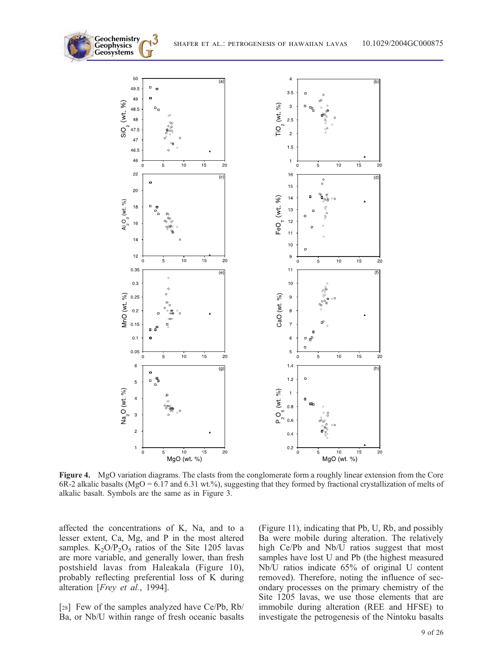

Figure 4. MgO variation diagrams. The clasts from the conglomerate form a roughly linear extension from the Core 6R-2 alkalic basalts (MgO = 6.17 and 6.31 wt.%), suggesting that they formed by fractional crystallization of melts of alkalic basalt. Symbols are the same as in Figure 3.

affected the concentrations of K, Na, and to a lesser extent, Ca, Mg, and P in the most altered samples.  $K_2O/P_2O_5$  ratios of the Site 1205 lavas are more variable, and generally lower, than fresh postshield lavas from Haleakala (Figure 10), probably reflecting preferential loss of K during alteration [Frey et al., 1994].

**Geochemistry** Geophysics<br>Geosystems

[28] Few of the samples analyzed have Ce/Pb, Rb/ Ba, or Nb/U within range of fresh oceanic basalts (Figure 11), indicating that Pb, U, Rb, and possibly Ba were mobile during alteration. The relatively high Ce/Pb and Nb/U ratios suggest that most samples have lost U and Pb (the highest measured Nb/U ratios indicate 65% of original U content removed). Therefore, noting the influence of secondary processes on the primary chemistry of the Site 1205 lavas, we use those elements that are immobile during alteration (REE and HFSE) to investigate the petrogenesis of the Nintoku basalts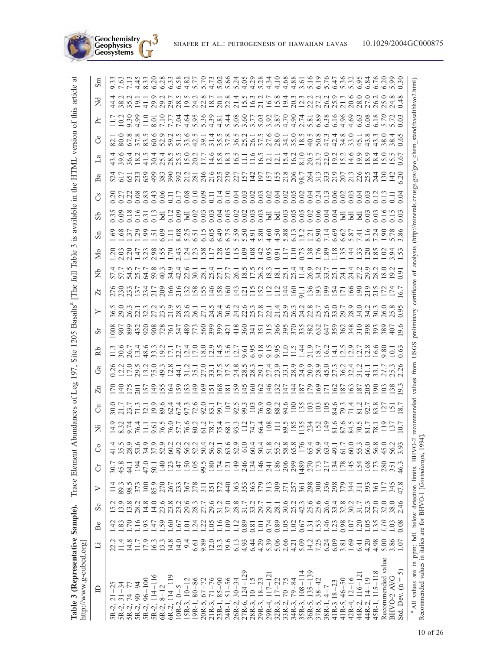| Table 3 (Representative Sample).<br>http://www.g-cubed.org]                                                                               |                     |                  |             |                  | Trace Element A    |                            | undances | đ          | Leg                                                                                                 | 197,                                                                                                                                                                   | 1205<br>Site |   | Basalts'                                                                                                               | The | Ξ        | Table    | ÍS | available | the<br>$\Xi$ |    | HTML version                                                                                                                                       |    | of this                                                                                                                                                                                                                             | article                                                                                                                                                                                                                              | ಹ |
|-------------------------------------------------------------------------------------------------------------------------------------------|---------------------|------------------|-------------|------------------|--------------------|----------------------------|----------|------------|-----------------------------------------------------------------------------------------------------|------------------------------------------------------------------------------------------------------------------------------------------------------------------------|--------------|---|------------------------------------------------------------------------------------------------------------------------|-----|----------|----------|----|-----------|--------------|----|----------------------------------------------------------------------------------------------------------------------------------------------------|----|-------------------------------------------------------------------------------------------------------------------------------------------------------------------------------------------------------------------------------------|--------------------------------------------------------------------------------------------------------------------------------------------------------------------------------------------------------------------------------------|---|
| $\triangle$                                                                                                                               | Ë                   | Be               | $S_{\rm C}$ | ➢                | Ö                  | ී                          | Ž        | ੌ          | Ę                                                                                                   | යී                                                                                                                                                                     | Ŕb           | ŏ | ≻                                                                                                                      | Ä   | Ż        | Δo       | Ъã | Зb        | S            | Ba |                                                                                                                                                    | පි | $\sum_{i=1}^{n}$<br>È                                                                                                                                                                                                               | $\sin$                                                                                                                                                                                                                               |   |
|                                                                                                                                           |                     |                  |             | $\overline{11}$  | 50.7<br>544<br>544 |                            |          |            | LALOURNA OUS D'ARRIQUE HARRE LA PRODE DO DO D'O<br>CONCLONA OUS D'ARRIQUE LA PRODE D'ANDRE D'OUR D' | SALA ALS SALA ARNARA ANNANA AN ANNANA ARAITHE ANNA<br>CALA ALS SALA ARNARA A SASA FAMA A SALA ANNA ARAITHE ANNAI<br>CALA ALS SALA ARNARA ANNANA ANNAIS AN ANNAIS ANNAI |              |   | vom – manno vo – – v t vad vom z – tomar vo c c o cano c x vo<br>vo vanno na dividade dividada dividade dividade divid |     |          |          |    |           |              |    | ヰ゚゚゚゚゚゚ゟヸ゙ゖ゙ゖヸヸゖゖ゚ゖゖゖゟ゚ゕ゚ゖゖヿ゚ゖ゚ゖヿヸ゚ゖ゚ゖヷゖヷゖゖゖ゚ゕゕヸ゚ゖゖヷ<br>ヸ゚゚゚゚ゟヸゖゖヸヸゖゖゖゖゖゟゕ゚ゖ゚ゖヿヿ゚ヹゖヿヸゖ゚ゖヮゖゖゖゖゕゕヸ゚ゖゖヷ<br>ヸゟヸゖゖヸヸゖゖゖゖゖゟ゚ゕ゚ゖゖヿ゚゚ゖ゚ヿヿヸゖ゚ゖヮヿゖゖヷゕゕヸ゚゚ヿゖヷ |    | ב המאבאומר האמטים של המאה האמטים של איכום של המספר המספר המספר המאה המותר.<br>בכל המספר המשיר המשיר המספר המספר המספר המספר המספר המספר המספר המספר המספר המספר המספר המספר המספר המספר המספ<br>בכל המספר המספר המספר המספר המספר ה | contra con contro de diciem de de contra contra contra contra del contrología de la contra de la contra del co<br>Contra contra de diciem de diciem de diciem de diciem de diciem de diciem de diciem de la contra de diciem de<br>C |   |
| $74 - 77$<br>5R-2,                                                                                                                        |                     |                  |             | 89.3<br>98.5     |                    | 35.5<br>28.9               |          |            |                                                                                                     |                                                                                                                                                                        |              |   |                                                                                                                        |     |          |          |    |           |              |    |                                                                                                                                                    |    |                                                                                                                                                                                                                                     |                                                                                                                                                                                                                                      |   |
| SR-2, 90-94                                                                                                                               | 14.8<br>11.7        | $\tilde{=}$      | 28.2        | 373              | $\overline{5}$     | 53.6                       |          |            |                                                                                                     |                                                                                                                                                                        |              |   |                                                                                                                        |     |          |          |    |           |              |    |                                                                                                                                                    |    |                                                                                                                                                                                                                                     |                                                                                                                                                                                                                                      |   |
| $96 - 100$<br>5R-2,                                                                                                                       | 17.9                | $\frac{0}{2}$    | 14.8        | $\approx$        | 47.0<br>50.1       | 34.9                       |          |            |                                                                                                     |                                                                                                                                                                        |              |   |                                                                                                                        |     |          |          |    |           |              |    |                                                                                                                                                    |    |                                                                                                                                                                                                                                     |                                                                                                                                                                                                                                      |   |
| $114 - 116$<br>$5R-2,$                                                                                                                    |                     | $\overline{47}$  | 14.0        | S5.9             |                    | 37.9                       |          |            |                                                                                                     |                                                                                                                                                                        |              |   |                                                                                                                        |     |          |          |    |           |              |    |                                                                                                                                                    |    |                                                                                                                                                                                                                                     |                                                                                                                                                                                                                                      |   |
| $8 - 12$<br>$6R-2,$                                                                                                                       | $\frac{16.3}{13.3}$ | $\overline{.59}$ | 23.6        | 270              | $\overline{140}$   |                            |          |            |                                                                                                     |                                                                                                                                                                        |              |   |                                                                                                                        |     |          |          |    |           |              |    |                                                                                                                                                    |    |                                                                                                                                                                                                                                     |                                                                                                                                                                                                                                      |   |
| $6R-2, 114-119$                                                                                                                           | $\frac{14.8}{14.0}$ | 60               | 23.8        | 267              | $\frac{127}{147}$  | 60.2<br>49.2               |          |            |                                                                                                     |                                                                                                                                                                        |              |   |                                                                                                                        |     |          |          |    |           |              |    |                                                                                                                                                    |    |                                                                                                                                                                                                                                     |                                                                                                                                                                                                                                      |   |
| $10R-2, 0-5$<br>15R-3, $10-12$                                                                                                            |                     | $\overline{.61}$ | 23.2        | 233              |                    |                            |          |            |                                                                                                     |                                                                                                                                                                        |              |   |                                                                                                                        |     |          |          |    |           |              |    |                                                                                                                                                    |    |                                                                                                                                                                                                                                     |                                                                                                                                                                                                                                      |   |
|                                                                                                                                           | 9.4                 | $\overline{0}$   | 29.6        | 367              | 150                | 56.2                       |          |            |                                                                                                     |                                                                                                                                                                        |              |   |                                                                                                                        |     |          |          |    |           |              |    |                                                                                                                                                    |    |                                                                                                                                                                                                                                     |                                                                                                                                                                                                                                      |   |
| $19R-1, 80-86$                                                                                                                            | 6.61                | $\overline{54}$  | 28.3        | 278              | 105                |                            |          |            |                                                                                                     |                                                                                                                                                                        |              |   |                                                                                                                        |     |          |          |    |           |              |    |                                                                                                                                                    |    |                                                                                                                                                                                                                                     |                                                                                                                                                                                                                                      |   |
| $20R-5, 67-72$<br>$21R-3, 71-76$                                                                                                          | 9.89                | $\overline{5}$   |             | $\overline{5}$   | 99.5               | $52.3$<br>$56.3$<br>$56.3$ |          |            |                                                                                                     |                                                                                                                                                                        |              |   |                                                                                                                        |     |          |          |    |           |              |    |                                                                                                                                                    |    |                                                                                                                                                                                                                                     |                                                                                                                                                                                                                                      |   |
|                                                                                                                                           | 12.0                | $\frac{105}{2}$  | 29.6        | 35               | 180                |                            |          |            |                                                                                                     |                                                                                                                                                                        |              |   |                                                                                                                        |     |          |          |    |           |              |    |                                                                                                                                                    |    |                                                                                                                                                                                                                                     |                                                                                                                                                                                                                                      |   |
| $23R-1, 85-90$                                                                                                                            | 13.3                | 1.16             | 31.2        | 372              | 174                |                            |          |            |                                                                                                     |                                                                                                                                                                        |              |   |                                                                                                                        |     |          |          |    |           |              |    |                                                                                                                                                    |    |                                                                                                                                                                                                                                     |                                                                                                                                                                                                                                      |   |
| $24R-1, 51-56$                                                                                                                            | 19.6                | 1.09             | 37.0        | $rac{4}{4}$      | $\frac{12}{149}$   | 63.6                       |          |            |                                                                                                     |                                                                                                                                                                        |              |   |                                                                                                                        |     |          |          |    |           |              |    |                                                                                                                                                    |    |                                                                                                                                                                                                                                     |                                                                                                                                                                                                                                      |   |
|                                                                                                                                           | 6.13                | $\frac{12}{1}$   |             |                  |                    |                            |          |            |                                                                                                     |                                                                                                                                                                        |              |   |                                                                                                                        |     |          |          |    |           |              |    |                                                                                                                                                    |    |                                                                                                                                                                                                                                     |                                                                                                                                                                                                                                      |   |
| $124 - 129$<br>$26R-2$ , $30-34$<br>$27R-6$ , $124-12$                                                                                    | 4.93                | 0.89             | 31.7        | <b>353555</b>    | 246                | 610                        |          |            |                                                                                                     |                                                                                                                                                                        |              |   |                                                                                                                        |     |          |          |    |           |              |    |                                                                                                                                                    |    |                                                                                                                                                                                                                                     |                                                                                                                                                                                                                                      |   |
| $28R-3, 10-15$                                                                                                                            | 6.44                | 0.81             | 33.2        |                  | $\frac{134}{146}$  | $604$<br>$503$<br>$503$    |          |            |                                                                                                     |                                                                                                                                                                        |              |   |                                                                                                                        |     |          |          |    |           |              |    |                                                                                                                                                    |    |                                                                                                                                                                                                                                     |                                                                                                                                                                                                                                      |   |
| $18 - 23$<br>29R-3,                                                                                                                       | 4.29                | $\overline{0}$   | 29.7        |                  |                    |                            |          |            |                                                                                                     |                                                                                                                                                                        |              |   |                                                                                                                        |     |          |          |    |           |              |    |                                                                                                                                                    |    |                                                                                                                                                                                                                                     |                                                                                                                                                                                                                                      |   |
| $117 - 12$<br>29R-4,                                                                                                                      | 5.39                | 0.74             | 29.1        |                  |                    |                            |          |            |                                                                                                     |                                                                                                                                                                        |              |   |                                                                                                                        |     |          |          |    |           |              |    |                                                                                                                                                    |    |                                                                                                                                                                                                                                     |                                                                                                                                                                                                                                      |   |
| $17 - 22$<br>32R-3,                                                                                                                       | 5.06                | 0.89             | 28.1        | 309              | 186                |                            |          |            |                                                                                                     |                                                                                                                                                                        |              |   |                                                                                                                        |     |          |          |    |           |              |    |                                                                                                                                                    |    |                                                                                                                                                                                                                                     |                                                                                                                                                                                                                                      |   |
|                                                                                                                                           | $2.66$<br>$4.21$    | $\frac{50}{10}$  | 30.6        | 371              | 206<br>299         |                            |          |            |                                                                                                     |                                                                                                                                                                        |              |   |                                                                                                                        |     |          |          |    |           |              |    |                                                                                                                                                    |    |                                                                                                                                                                                                                                     |                                                                                                                                                                                                                                      |   |
| $33R-2, 70-75$<br>$34R-3, 79-84$<br>$35R-3, 108-114$                                                                                      |                     | 1.02             | 25.2        |                  |                    | 55.8<br>58.8<br>176        |          |            |                                                                                                     |                                                                                                                                                                        |              |   |                                                                                                                        |     |          |          |    |           |              |    |                                                                                                                                                    |    |                                                                                                                                                                                                                                     |                                                                                                                                                                                                                                      |   |
|                                                                                                                                           | 5.09                | 0.67             | 42.3        | 361              | 1489               |                            |          |            |                                                                                                     |                                                                                                                                                                        |              |   |                                                                                                                        |     |          |          |    |           |              |    |                                                                                                                                                    |    |                                                                                                                                                                                                                                     |                                                                                                                                                                                                                                      |   |
| 36R-5, 135-139                                                                                                                            | 14.2                | $\overline{131}$ | 25.6        | 298              |                    | 65.4<br>56.9               |          |            |                                                                                                     |                                                                                                                                                                        |              |   |                                                                                                                        |     |          |          |    |           |              |    |                                                                                                                                                    |    |                                                                                                                                                                                                                                     |                                                                                                                                                                                                                                      |   |
| $37R-5, 38-42$                                                                                                                            | 7.25                | $\overline{53}$  | 25.6        | 336              | 270<br>173<br>217  |                            |          |            |                                                                                                     |                                                                                                                                                                        |              |   |                                                                                                                        |     |          |          |    |           |              |    |                                                                                                                                                    |    |                                                                                                                                                                                                                                     |                                                                                                                                                                                                                                      |   |
| $38R-1, 4-7$                                                                                                                              | 6.24                | $-46$            | 26.6        |                  |                    | 63.4                       |          |            |                                                                                                     |                                                                                                                                                                        |              |   |                                                                                                                        |     |          |          |    |           |              |    |                                                                                                                                                    |    |                                                                                                                                                                                                                                     |                                                                                                                                                                                                                                      |   |
| $41R-3$ $18-23$                                                                                                                           | 6.09                | $\overline{23}$  | 33.4        | 298              | 134                | 49.1<br>61.7               |          |            |                                                                                                     |                                                                                                                                                                        |              |   |                                                                                                                        |     |          |          |    |           |              |    |                                                                                                                                                    |    |                                                                                                                                                                                                                                     |                                                                                                                                                                                                                                      |   |
| $41R-5, 46-50$                                                                                                                            | 3.81                | 0.98             | 32.8        |                  | 178                |                            |          |            |                                                                                                     |                                                                                                                                                                        |              |   |                                                                                                                        |     |          |          |    |           |              |    |                                                                                                                                                    |    |                                                                                                                                                                                                                                     |                                                                                                                                                                                                                                      |   |
| 42R4, 12-16                                                                                                                               | 1.69                | $\overline{0}$   | 30.2        | 344              | 145                | 60.0                       |          |            |                                                                                                     |                                                                                                                                                                        |              |   |                                                                                                                        |     |          |          |    |           |              |    |                                                                                                                                                    |    |                                                                                                                                                                                                                                     |                                                                                                                                                                                                                                      |   |
| 44R-2, 116-12                                                                                                                             | 6.41                | $\overline{20}$  | 31.7        | $\overline{311}$ | 154                | 55.3                       |          |            |                                                                                                     |                                                                                                                                                                        |              |   |                                                                                                                        |     |          |          |    |           |              |    |                                                                                                                                                    |    |                                                                                                                                                                                                                                     |                                                                                                                                                                                                                                      |   |
| 44R-2, 14-19                                                                                                                              | 4.20                | $\frac{50}{1}$   | 32.3        | 393              | 168                | 66.0                       |          |            |                                                                                                     |                                                                                                                                                                        |              |   |                                                                                                                        |     |          |          |    |           |              |    |                                                                                                                                                    |    |                                                                                                                                                                                                                                     |                                                                                                                                                                                                                                      |   |
| $45R-1, 115-118$                                                                                                                          | 4.98                | $\frac{35}{2}$   | 27.0        | $\overline{36}$  | 173                | 56.8                       |          |            |                                                                                                     |                                                                                                                                                                        |              |   |                                                                                                                        |     |          |          |    |           |              |    |                                                                                                                                                    |    |                                                                                                                                                                                                                                     |                                                                                                                                                                                                                                      |   |
| Recommended value                                                                                                                         | 5.00                | 01.1             | 32.0        | 317              | 280                | 45.0                       |          |            |                                                                                                     |                                                                                                                                                                        |              |   |                                                                                                                        |     |          |          |    |           |              |    |                                                                                                                                                    |    |                                                                                                                                                                                                                                     |                                                                                                                                                                                                                                      |   |
| BHVO-2 AVG                                                                                                                                | $\frac{86}{1.07}$   | $\frac{3}{2}$    |             | 345              | 351                | 56.2                       |          |            |                                                                                                     |                                                                                                                                                                        |              |   |                                                                                                                        |     |          |          |    |           |              |    |                                                                                                                                                    |    |                                                                                                                                                                                                                                     |                                                                                                                                                                                                                                      |   |
| ín<br>Std. Dev. $(n =$                                                                                                                    |                     | 0.08             | 2.46        | 47.8             |                    |                            |          |            |                                                                                                     |                                                                                                                                                                        |              |   |                                                                                                                        |     |          |          |    |           |              |    |                                                                                                                                                    |    |                                                                                                                                                                                                                                     |                                                                                                                                                                                                                                      |   |
| Recommended values in italics are for BHVO-1 [Govindaraju, 199.<br><sup>a</sup> All values are in ppm; bdl, below detection limits. BHVO- |                     |                  |             |                  |                    |                            |          | ecommended | values                                                                                              | from                                                                                                                                                                   | USGS         |   | preliminary certificate                                                                                                |     | $\sigma$ | analysis |    |           |              |    |                                                                                                                                                    |    | (http://minerals.cr.usgs.gov/geo_chem_stand/basaltbhvo2                                                                                                                                                                             | html)                                                                                                                                                                                                                                |   |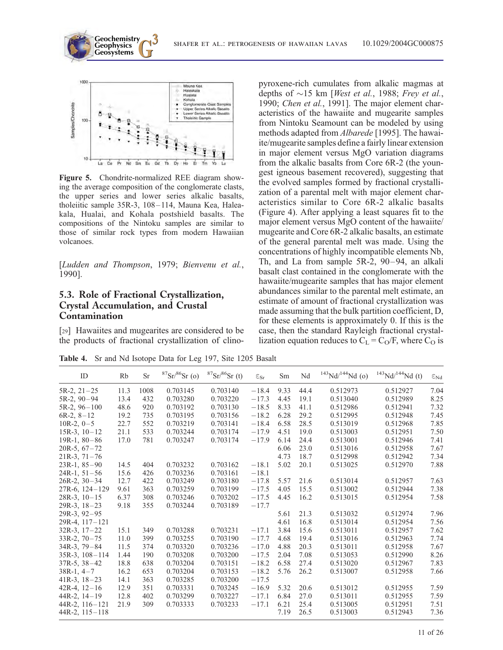



Figure 5. Chondrite-normalized REE diagram showing the average composition of the conglomerate clasts, the upper series and lower series alkalic basalts, tholeiitic sample 35R-3, 108-114, Mauna Kea, Haleakala, Hualai, and Kohala postshield basalts. The compositions of the Nintoku samples are similar to those of similar rock types from modern Hawaiian volcanoes.

[Ludden and Thompson, 1979; Bienvenu et al., 1990].

#### 5.3. Role of Fractional Crystallization, Crystal Accumulation, and Crustal Contamination

[29] Hawaiites and mugearites are considered to be the products of fractional crystallization of clinopyroxene-rich cumulates from alkalic magmas at depths of  $\sim$ 15 km [West et al., 1988; Frey et al., 1990; Chen et al., 1991]. The major element characteristics of the hawaiite and mugearite samples from Nintoku Seamount can be modeled by using methods adapted from Albarede [1995]. The hawaiite/mugearite samples define a fairly linear extension in major element versus MgO variation diagrams from the alkalic basalts from Core 6R-2 (the youngest igneous basement recovered), suggesting that the evolved samples formed by fractional crystallization of a parental melt with major element characteristics similar to Core 6R-2 alkalic basalts (Figure 4). After applying a least squares fit to the major element versus MgO content of the hawaiite/ mugearite and Core 6R-2 alkalic basalts, an estimate of the general parental melt was made. Using the concentrations of highly incompatible elements Nb, Th, and La from sample 5R-2, 90–94, an alkali basalt clast contained in the conglomerate with the hawaiite/mugearite samples that has major element abundances similar to the parental melt estimate, an estimate of amount of fractional crystallization was made assuming that the bulk partition coefficient, D, for these elements is approximately 0. If this is the case, then the standard Rayleigh fractional crystallization equation reduces to  $C_L = C_O/F$ , where  $C_O$  is

Table 4. Sr and Nd Isotope Data for Leg 197, Site 1205 Basalt

| ID                  | Rb   | <b>Sr</b> | ${}^{87}Sr/{}^{86}Sr$ (o) | $87\text{Sr}/86\text{Sr (t)}$ | $\ensuremath{\varepsilon_{\text{Sr}}}$ | Sm   | Nd   | $143$ Nd/ $144$ Nd (o) | $143$ Nd/ $144$ Nd (t) | $\epsilon_{\rm Nd}$ |
|---------------------|------|-----------|---------------------------|-------------------------------|----------------------------------------|------|------|------------------------|------------------------|---------------------|
| $5R-2$ , $21-25$    | 11.3 | 1008      | 0.703145                  | 0.703140                      | $-18.4$                                | 9.33 | 44.4 | 0.512973               | 0.512927               | 7.04                |
| $5R-2, 90-94$       | 13.4 | 432       | 0.703280                  | 0.703220                      | $-17.3$                                | 4.45 | 19.1 | 0.513040               | 0.512989               | 8.25                |
| $5R-2, 96-100$      | 48.6 | 920       | 0.703192                  | 0.703130                      | $-18.5$                                | 8.33 | 41.1 | 0.512986               | 0.512941               | 7.32                |
| $6R-2, 8-12$        | 19.2 | 735       | 0.703195                  | 0.703156                      | $-18.2$                                | 6.28 | 29.2 | 0.512995               | 0.512948               | 7.45                |
| $10R-2, 0-5$        | 22.7 | 552       | 0.703219                  | 0.703141                      | $-18.4$                                | 6.58 | 28.5 | 0.513019               | 0.512968               | 7.85                |
| $15R-3$ , $10-12$   | 21.1 | 533       | 0.703244                  | 0.703174                      | $-17.9$                                | 4.51 | 19.0 | 0.513003               | 0.512951               | 7.50                |
| $19R-1, 80-86$      | 17.0 | 781       | 0.703247                  | 0.703174                      | $-17.9$                                | 6.14 | 24.4 | 0.513001               | 0.512946               | 7.41                |
| $20R-5, 67-72$      |      |           |                           |                               |                                        | 6.06 | 23.0 | 0.513016               | 0.512958               | 7.67                |
| $21R-3, 71-76$      |      |           |                           |                               |                                        | 4.73 | 18.7 | 0.512998               | 0.512942               | 7.34                |
| $23R-1, 85-90$      | 14.5 | 404       | 0.703232                  | 0.703162                      | $-18.1$                                | 5.02 | 20.1 | 0.513025               | 0.512970               | 7.88                |
| $24R-1, 51-56$      | 15.6 | 426       | 0.703236                  | 0.703161                      | $-18.1$                                |      |      |                        |                        |                     |
| $26R-2$ , $30-34$   | 12.7 | 422       | 0.703249                  | 0.703180                      | $-17.8$                                | 5.57 | 21.6 | 0.513014               | 0.512957               | 7.63                |
| $27R-6$ , $124-129$ | 9.61 | 363       | 0.703259                  | 0.703199                      | $-17.5$                                | 4.05 | 15.5 | 0.513002               | 0.512944               | 7.38                |
| $28R-3$ , $10-15$   | 6.37 | 308       | 0.703246                  | 0.703202                      | $-17.5$                                | 4.45 | 16.2 | 0.513015               | 0.512954               | 7.58                |
| $29R-3$ , $18-23$   | 9.18 | 355       | 0.703244                  | 0.703189                      | $-17.7$                                |      |      |                        |                        |                     |
| $29R-3, 92-95$      |      |           |                           |                               |                                        | 5.61 | 21.3 | 0.513032               | 0.512974               | 7.96                |
| 29R-4, 117-121      |      |           |                           |                               |                                        | 4.61 | 16.8 | 0.513014               | 0.512954               | 7.56                |
| $32R-3$ , $17-22$   | 15.1 | 349       | 0.703288                  | 0.703231                      | $-17.1$                                | 3.84 | 15.6 | 0.513011               | 0.512957               | 7.62                |
| $33R-2, 70-75$      | 11.0 | 399       | 0.703255                  | 0.703190                      | $-17.7$                                | 4.68 | 19.4 | 0.513016               | 0.512963               | 7.74                |
| $34R-3$ , $79-84$   | 11.5 | 374       | 0.703320                  | 0.703236                      | $-17.0$                                | 4.88 | 20.3 | 0.513011               | 0.512958               | 7.67                |
| $35R-3$ , $108-114$ | 1.44 | 190       | 0.703208                  | 0.703200                      | $-17.5$                                | 2.04 | 7.08 | 0.513053               | 0.512990               | 8.26                |
| $37R-5$ , $38-42$   | 18.8 | 638       | 0.703204                  | 0.703151                      | $-18.2$                                | 6.58 | 27.4 | 0.513020               | 0.512967               | 7.83                |
| $38R-1, 4-7$        | 16.2 | 653       | 0.703204                  | 0.703153                      | $-18.2$                                | 5.76 | 26.2 | 0.513007               | 0.512958               | 7.66                |
| $41R-3$ , $18-23$   | 14.1 | 363       | 0.703285                  | 0.703200                      | $-17.5$                                |      |      |                        |                        |                     |
| 42R-4, $12-16$      | 12.9 | 351       | 0.703331                  | 0.703245                      | $-16.9$                                | 5.32 | 20.6 | 0.513012               | 0.512955               | 7.59                |
| $44R-2$ , $14-19$   | 12.8 | 402       | 0.703299                  | 0.703227                      | $-17.1$                                | 6.84 | 27.0 | 0.513011               | 0.512955               | 7.59                |
| $44R-2$ , $116-121$ | 21.9 | 309       | 0.703333                  | 0.703233                      | $-17.1$                                | 6.21 | 25.4 | 0.513005               | 0.512951               | 7.51                |
| $44R-2$ , $115-118$ |      |           |                           |                               |                                        | 7.19 | 26.5 | 0.513003               | 0.512943               | 7.36                |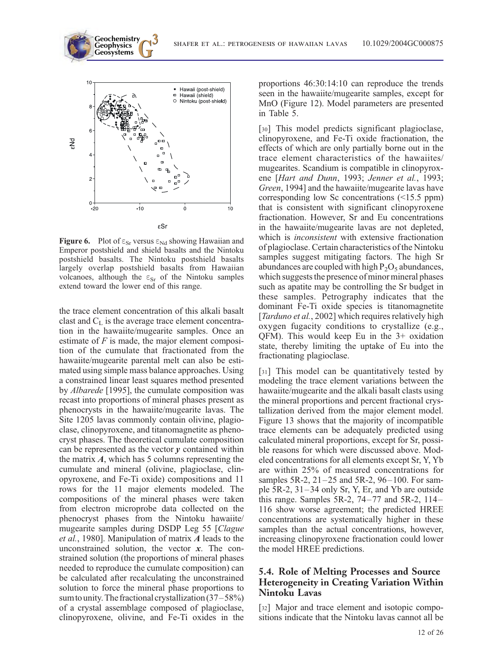

**Geochemistry** Geophysics<br>Geosystems

Figure 6. Plot of  $\varepsilon_{Sr}$  versus  $\varepsilon_{Nd}$  showing Hawaiian and Emperor postshield and shield basalts and the Nintoku postshield basalts. The Nintoku postshield basalts largely overlap postshield basalts from Hawaiian volcanoes, although the  $\varepsilon_{Sr}$  of the Nintoku samples extend toward the lower end of this range.

the trace element concentration of this alkali basalt clast and  $C_L$  is the average trace element concentration in the hawaiite/mugearite samples. Once an estimate of  $F$  is made, the major element composition of the cumulate that fractionated from the hawaiite/mugearite parental melt can also be estimated using simple mass balance approaches. Using a constrained linear least squares method presented by Albarede [1995], the cumulate composition was recast into proportions of mineral phases present as phenocrysts in the hawaiite/mugearite lavas. The Site 1205 lavas commonly contain olivine, plagioclase, clinopyroxene, and titanomagnetite as phenocryst phases. The theoretical cumulate composition can be represented as the vector  $y$  contained within the matrix  $A$ , which has 5 columns representing the cumulate and mineral (olivine, plagioclase, clinopyroxene, and Fe-Ti oxide) compositions and 11 rows for the 11 major elements modeled. The compositions of the mineral phases were taken from electron microprobe data collected on the phenocryst phases from the Nintoku hawaiite/ mugearite samples during DSDP Leg 55 [Clague et al., 1980]. Manipulation of matrix A leads to the unconstrained solution, the vector  $x$ . The constrained solution (the proportions of mineral phases needed to reproduce the cumulate composition) can be calculated after recalculating the unconstrained solution to force the mineral phase proportions to sum to unity. The fractional crystallization  $(37-58%)$ of a crystal assemblage composed of plagioclase, clinopyroxene, olivine, and Fe-Ti oxides in the proportions 46:30:14:10 can reproduce the trends seen in the hawaiite/mugearite samples, except for MnO (Figure 12). Model parameters are presented in Table 5.

[30] This model predicts significant plagioclase, clinopyroxene, and Fe-Ti oxide fractionation, the effects of which are only partially borne out in the trace element characteristics of the hawaiites/ mugearites. Scandium is compatible in clinopyroxene [Hart and Dunn, 1993; Jenner et al., 1993; Green, 1994] and the hawaiite/mugearite lavas have corresponding low Sc concentrations (<15.5 ppm) that is consistent with significant clinopyroxene fractionation. However, Sr and Eu concentrations in the hawaiite/mugearite lavas are not depleted, which is *inconsistent* with extensive fractionation of plagioclase. Certain characteristics of the Nintoku samples suggest mitigating factors. The high Sr abundances are coupled with high  $P_2O_5$  abundances, which suggests the presence of minor mineral phases such as apatite may be controlling the Sr budget in these samples. Petrography indicates that the dominant Fe-Ti oxide species is titanomagnetite [*Tarduno et al.*, 2002] which requires relatively high oxygen fugacity conditions to crystallize (e.g., QFM). This would keep Eu in the 3+ oxidation state, thereby limiting the uptake of Eu into the fractionating plagioclase.

[31] This model can be quantitatively tested by modeling the trace element variations between the hawaiite/mugearite and the alkali basalt clasts using the mineral proportions and percent fractional crystallization derived from the major element model. Figure 13 shows that the majority of incompatible trace elements can be adequately predicted using calculated mineral proportions, except for Sr, possible reasons for which were discussed above. Modeled concentrations for all elements except Sr, Y, Yb are within 25% of measured concentrations for samples 5R-2, 21–25 and 5R-2, 96–100. For sample 5R-2, 31–34 only Sr, Y, Er, and Yb are outside this range. Samples 5R-2, 74–77 and 5R-2, 114– 116 show worse agreement; the predicted HREE concentrations are systematically higher in these samples than the actual concentrations, however, increasing clinopyroxene fractionation could lower the model HREE predictions.

#### 5.4. Role of Melting Processes and Source Heterogeneity in Creating Variation Within Nintoku Lavas

[32] Major and trace element and isotopic compositions indicate that the Nintoku lavas cannot all be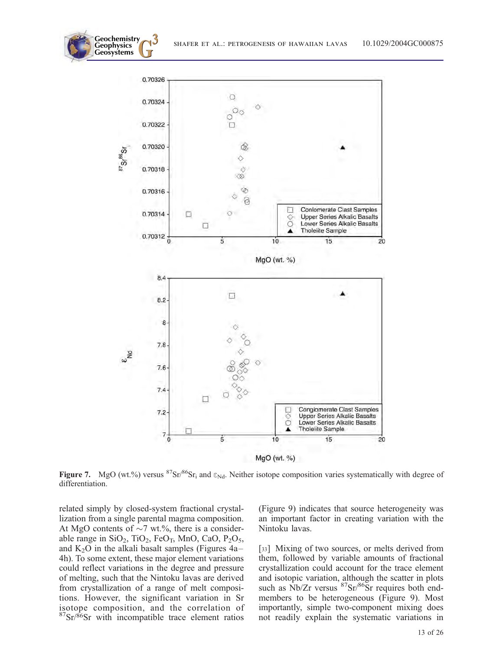



Figure 7. MgO (wt.%) versus  ${}^{87}Sr/{}^{86}Sr$ <sub>i</sub> and  $\varepsilon_{Nd}$ . Neither isotope composition varies systematically with degree of differentiation.

related simply by closed-system fractional crystallization from a single parental magma composition. At MgO contents of  $\sim$ 7 wt.%, there is a considerable range in  $SiO_2$ ,  $TiO_2$ ,  $FeO_T$ , MnO, CaO,  $P_2O_5$ , and  $K_2O$  in the alkali basalt samples (Figures 4a– 4h). To some extent, these major element variations could reflect variations in the degree and pressure of melting, such that the Nintoku lavas are derived from crystallization of a range of melt compositions. However, the significant variation in Sr isotope composition, and the correlation of  $87$ Sr/ $86$ Sr with incompatible trace element ratios

(Figure 9) indicates that source heterogeneity was an important factor in creating variation with the Nintoku lavas.

[33] Mixing of two sources, or melts derived from them, followed by variable amounts of fractional crystallization could account for the trace element and isotopic variation, although the scatter in plots such as  $Nb/Zr$  versus  $87Sr/86Sr$  requires both endmembers to be heterogeneous (Figure 9). Most importantly, simple two-component mixing does not readily explain the systematic variations in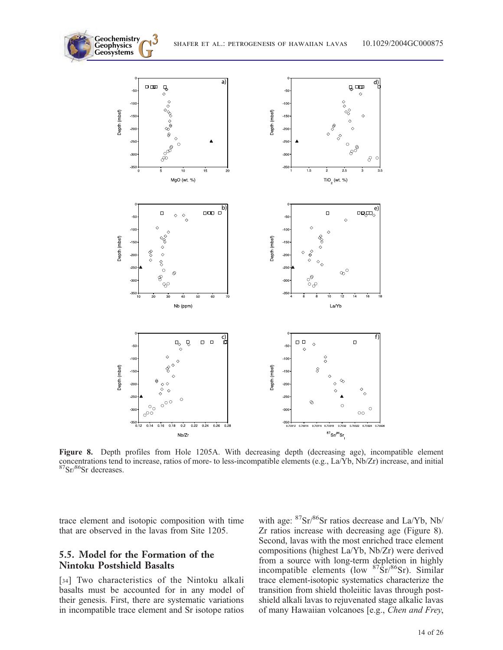

Figure 8. Depth profiles from Hole 1205A. With decreasing depth (decreasing age), incompatible element concentrations tend to increase, ratios of more- to less-incompatible elements (e.g., La/Yb, Nb/Zr) increase, and initial 87Sr/86Sr decreases.

trace element and isotopic composition with time that are observed in the lavas from Site 1205.

#### 5.5. Model for the Formation of the Nintoku Postshield Basalts

**Geochemistry** Geophysics<br>Geosystems

[34] Two characteristics of the Nintoku alkali basalts must be accounted for in any model of their genesis. First, there are systematic variations in incompatible trace element and Sr isotope ratios

with age: 87Sr/86Sr ratios decrease and La/Yb, Nb/ Zr ratios increase with decreasing age (Figure 8). Second, lavas with the most enriched trace element compositions (highest La/Yb, Nb/Zr) were derived from a source with long-term depletion in highly incompatible elements (low  $87\text{Sr}/86\text{Sr}$ ). Similar trace element-isotopic systematics characterize the transition from shield tholeiitic lavas through postshield alkali lavas to rejuvenated stage alkalic lavas of many Hawaiian volcanoes [e.g., Chen and Frey,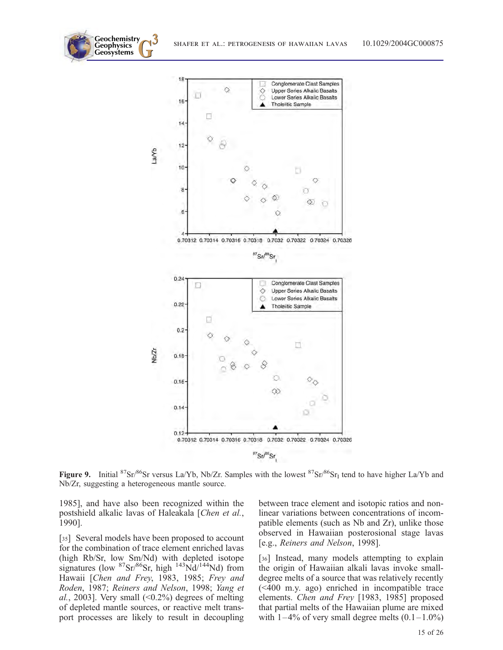



Figure 9. Initial  ${}^{87}Sr/{}^{86}Sr$  versus La/Yb, Nb/Zr. Samples with the lowest  ${}^{87}Sr/{}^{86}Sr$ <sub>I</sub> tend to have higher La/Yb and Nb/Zr, suggesting a heterogeneous mantle source.

1985], and have also been recognized within the postshield alkalic lavas of Haleakala [Chen et al., 1990].

[35] Several models have been proposed to account for the combination of trace element enriched lavas (high Rb/Sr, low Sm/Nd) with depleted isotope signatures (low  ${}^{87}Sr/{}^{86}Sr$ , high  ${}^{143}Nd/{}^{144}Nd$ ) from Hawaii [Chen and Frey, 1983, 1985; Frey and Roden, 1987; Reiners and Nelson, 1998; Yang et al., 2003]. Very small  $(\leq 0.2\%)$  degrees of melting of depleted mantle sources, or reactive melt transport processes are likely to result in decoupling between trace element and isotopic ratios and nonlinear variations between concentrations of incompatible elements (such as Nb and Zr), unlike those observed in Hawaiian posterosional stage lavas [e.g., Reiners and Nelson, 1998].

[36] Instead, many models attempting to explain the origin of Hawaiian alkali lavas invoke smalldegree melts of a source that was relatively recently (<400 m.y. ago) enriched in incompatible trace elements. Chen and Frey [1983, 1985] proposed that partial melts of the Hawaiian plume are mixed with  $1-4\%$  of very small degree melts  $(0.1-1.0\%)$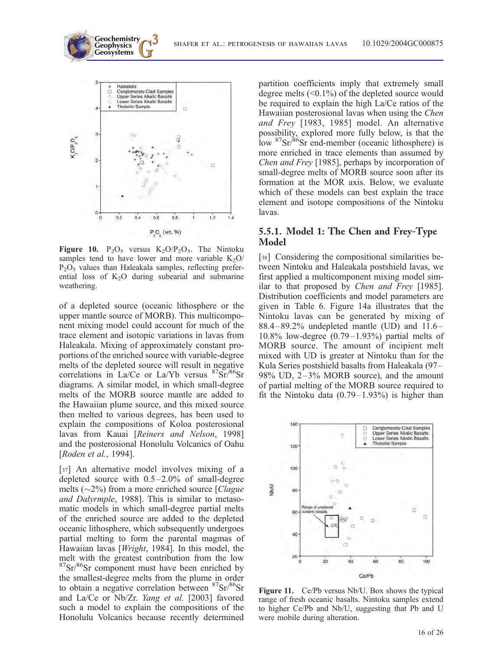

P<sub>2</sub>O<sub>2</sub> (wt. %)

Figure 10.  $P_2O_5$  versus  $K_2O/P_2O_5$ . The Nintoku samples tend to have lower and more variable  $K_2O$  $P_2O_5$  values than Haleakala samples, reflecting preferential loss of  $K_2O$  during subearial and submarine weathering.

of a depleted source (oceanic lithosphere or the upper mantle source of MORB). This multicomponent mixing model could account for much of the trace element and isotopic variations in lavas from Haleakala. Mixing of approximately constant proportions of the enriched source with variable-degree melts of the depleted source will result in negative correlations in La/Ce or La/Yb versus  $87Sr/86Sr$ diagrams. A similar model, in which small-degree melts of the MORB source mantle are added to the Hawaiian plume source, and this mixed source then melted to various degrees, has been used to explain the compositions of Koloa posterosional lavas from Kauai [Reiners and Nelson, 1998] and the posterosional Honolulu Volcanics of Oahu [Roden et al., 1994].

[37] An alternative model involves mixing of a depleted source with 0.5–2.0% of small-degree melts ( $\sim$ 2%) from a more enriched source [*Clague* and Dalyrmple, 1988]. This is similar to metasomatic models in which small-degree partial melts of the enriched source are added to the depleted oceanic lithosphere, which subsequently undergoes partial melting to form the parental magmas of Hawaiian lavas [*Wright*, 1984]. In this model, the melt with the greatest contribution from the low <sup>87</sup>Sr/<sup>86</sup>Sr component must have been enriched by the smallest-degree melts from the plume in order to obtain a negative correlation between  $87\text{Sr}/86\text{Sr}$ and La/Ce or Nb/Zr. Yang et al. [2003] favored such a model to explain the compositions of the Honolulu Volcanics because recently determined

partition coefficients imply that extremely small degree melts  $(0.1\%)$  of the depleted source would be required to explain the high La/Ce ratios of the Hawaiian posterosional lavas when using the Chen and Frey [1983, 1985] model. An alternative possibility, explored more fully below, is that the low 87Sr/86Sr end-member (oceanic lithosphere) is more enriched in trace elements than assumed by Chen and Frey [1985], perhaps by incorporation of small-degree melts of MORB source soon after its formation at the MOR axis. Below, we evaluate which of these models can best explain the trace element and isotope compositions of the Nintoku lavas.

#### 5.5.1. Model 1: The Chen and Frey-Type Model

[38] Considering the compositional similarities between Nintoku and Haleakala postshield lavas, we first applied a multicomponent mixing model similar to that proposed by Chen and Frey [1985]. Distribution coefficients and model parameters are given in Table 6. Figure 14a illustrates that the Nintoku lavas can be generated by mixing of  $88.4-89.2\%$  undepleted mantle (UD) and  $11.6 10.8\%$  low-degree  $(0.79-1.93\%)$  partial melts of MORB source. The amount of incipient melt mixed with UD is greater at Nintoku than for the Kula Series postshield basalts from Haleakala (97– 98% UD, 2–3% MORB source), and the amount of partial melting of the MORB source required to fit the Nintoku data  $(0.79-1.93%)$  is higher than



Figure 11. Ce/Pb versus Nb/U. Box shows the typical range of fresh oceanic basalts. Nintoku samples extend to higher Ce/Pb and Nb/U, suggesting that Pb and U were mobile during alteration.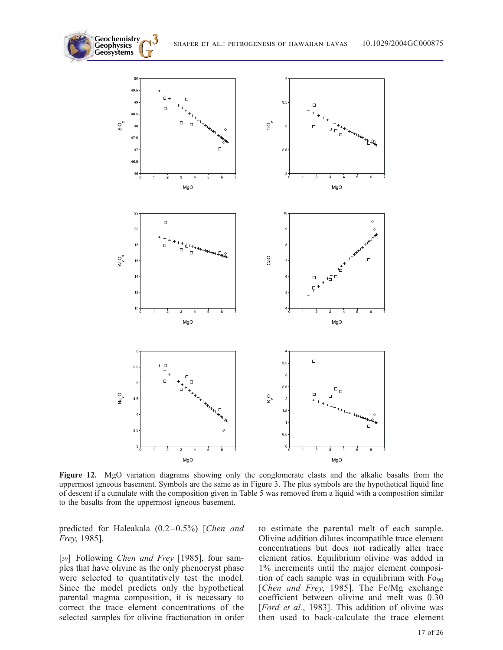**Geosystems G3** shafer et al.: petrogenesis of hawaiian lavas 10.1029/2004GC000875



Figure 12. MgO variation diagrams showing only the conglomerate clasts and the alkalic basalts from the uppermost igneous basement. Symbols are the same as in Figure 3. The plus symbols are the hypothetical liquid line of descent if a cumulate with the composition given in Table 5 was removed from a liquid with a composition similar to the basalts from the uppermost igneous basement.

predicted for Haleakala (0.2–0.5%) [Chen and Frey, 1985].

**Geochemistry** Geophysics<br>Geosystems

[39] Following Chen and Frey [1985], four samples that have olivine as the only phenocryst phase were selected to quantitatively test the model. Since the model predicts only the hypothetical parental magma composition, it is necessary to correct the trace element concentrations of the selected samples for olivine fractionation in order to estimate the parental melt of each sample. Olivine addition dilutes incompatible trace element concentrations but does not radically alter trace element ratios. Equilibrium olivine was added in 1% increments until the major element composition of each sample was in equilibrium with  $Fo_{90}$ [Chen and Frey, 1985]. The Fe/Mg exchange coefficient between olivine and melt was 0.30 [Ford et al., 1983]. This addition of olivine was then used to back-calculate the trace element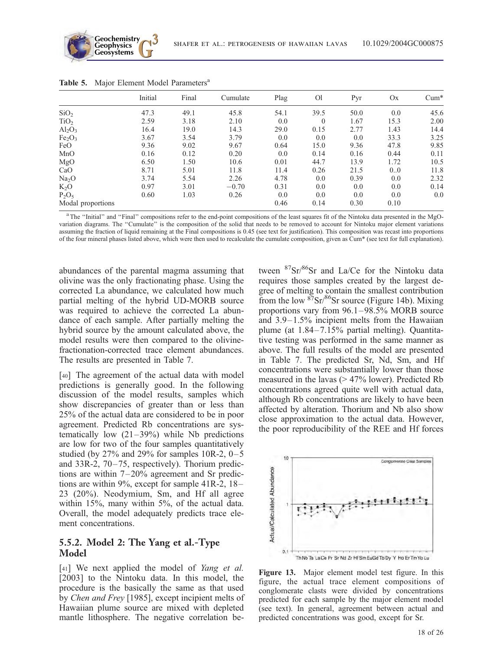

|                                | Initial | Final | Cumulate | Plag | O <sub>1</sub> | Pyr  | Ox            | $Cum^*$ |
|--------------------------------|---------|-------|----------|------|----------------|------|---------------|---------|
| SiO <sub>2</sub>               | 47.3    | 49.1  | 45.8     | 54.1 | 39.5           | 50.0 | 0.0           | 45.6    |
| TiO <sub>2</sub>               | 2.59    | 3.18  | 2.10     | 0.0  | $\theta$       | 1.67 | 15.3          | 2.00    |
| Al <sub>2</sub> O <sub>3</sub> | 16.4    | 19.0  | 14.3     | 29.0 | 0.15           | 2.77 | 1.43          | 14.4    |
| Fe <sub>2</sub> O <sub>3</sub> | 3.67    | 3.54  | 3.79     | 0.0  | 0.0            | 0.0  | 33.3          | 3.25    |
| FeO                            | 9.36    | 9.02  | 9.67     | 0.64 | 15.0           | 9.36 | 47.8          | 9.85    |
| MnO                            | 0.16    | 0.12  | 0.20     | 0.0  | 0.14           | 0.16 | 0.44          | 0.11    |
| MgO                            | 6.50    | 1.50  | 10.6     | 0.01 | 44.7           | 13.9 | 1.72          | 10.5    |
| CaO                            | 8.71    | 5.01  | 11.8     | 11.4 | 0.26           | 21.5 | $0.0^{\circ}$ | 11.8    |
| Na <sub>2</sub> O              | 3.74    | 5.54  | 2.26     | 4.78 | 0.0            | 0.39 | 0.0           | 2.32    |
| $K_2O$                         | 0.97    | 3.01  | $-0.70$  | 0.31 | 0.0            | 0.0  | 0.0           | 0.14    |
| $P_2O_5$                       | 0.60    | 1.03  | 0.26     | 0.0  | 0.0            | 0.0  | 0.0           | 0.0     |
| Modal proportions              |         |       |          | 0.46 | 0.14           | 0.30 | 0.10          |         |

Table 5. Major Element Model Parameters<sup>a</sup>

<sup>a</sup> The "Initial" and "Final" compositions refer to the end-point compositions of the least squares fit of the Nintoku data presented in the MgOvariation diagrams. The ''Cumulate'' is the composition of the solid that needs to be removed to account for Nintoku major element variations assuming the fraction of liquid remaining at the Final compositions is 0.45 (see text for justification). This composition was recast into proportions of the four mineral phases listed above, which were then used to recalculate the cumulate composition, given as Cum\* (see text for full explanation).

abundances of the parental magma assuming that olivine was the only fractionating phase. Using the corrected La abundance, we calculated how much partial melting of the hybrid UD-MORB source was required to achieve the corrected La abundance of each sample. After partially melting the hybrid source by the amount calculated above, the model results were then compared to the olivinefractionation-corrected trace element abundances. The results are presented in Table 7.

[40] The agreement of the actual data with model predictions is generally good. In the following discussion of the model results, samples which show discrepancies of greater than or less than 25% of the actual data are considered to be in poor agreement. Predicted Rb concentrations are systematically low  $(21-39%)$  while Nb predictions are low for two of the four samples quantitatively studied (by  $27\%$  and  $29\%$  for samples 10R-2, 0-5 and 33R-2, 70–75, respectively). Thorium predictions are within 7–20% agreement and Sr predictions are within 9%, except for sample 41R-2, 18– 23 (20%). Neodymium, Sm, and Hf all agree within 15%, many within 5%, of the actual data. Overall, the model adequately predicts trace element concentrations.

#### 5.5.2. Model 2: The Yang et al.-Type Model

[41] We next applied the model of *Yang et al.* [2003] to the Nintoku data. In this model, the procedure is the basically the same as that used by Chen and Frey [1985], except incipient melts of Hawaiian plume source are mixed with depleted mantle lithosphere. The negative correlation between <sup>87</sup>Sr/<sup>86</sup>Sr and La/Ce for the Nintoku data requires those samples created by the largest degree of melting to contain the smallest contribution from the low  $\frac{87}{5}$ Sr/ $\frac{86}{5}$ Sr source (Figure 14b). Mixing proportions vary from 96.1–98.5% MORB source and 3.9–1.5% incipient melts from the Hawaiian plume (at 1.84–7.15% partial melting). Quantitative testing was performed in the same manner as above. The full results of the model are presented in Table 7. The predicted Sr, Nd, Sm, and Hf concentrations were substantially lower than those measured in the lavas (> 47% lower). Predicted Rb concentrations agreed quite well with actual data, although Rb concentrations are likely to have been affected by alteration. Thorium and Nb also show close approximation to the actual data. However, the poor reproducibility of the REE and Hf forces



Figure 13. Major element model test figure. In this figure, the actual trace element compositions of conglomerate clasts were divided by concentrations predicted for each sample by the major element model (see text). In general, agreement between actual and predicted concentrations was good, except for Sr.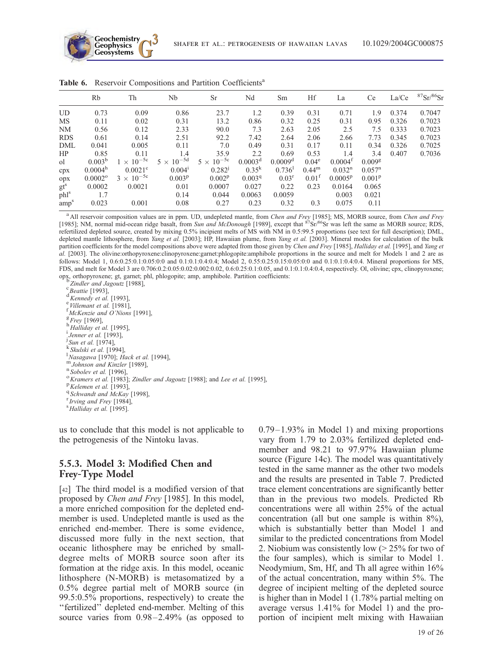

|                  | Rb                  | Th                  | Nb                  | Sr                  | Nd                 | Sm                   | Hf                | La               | Ce                 | La/Ce | ${}^{87}Sr/{}^{86}Sr$ |
|------------------|---------------------|---------------------|---------------------|---------------------|--------------------|----------------------|-------------------|------------------|--------------------|-------|-----------------------|
| <b>UD</b>        | 0.73                | 0.09                | 0.86                | 23.7                | 1.2                | 0.39                 | 0.31              | 0.71             | 1.9                | 0.374 | 0.7047                |
| MS               | 0.11                | 0.02                | 0.31                | 13.2                | 0.86               | 0.32                 | 0.25              | 0.31             | 0.95               | 0.326 | 0.7023                |
| NM               | 0.56                | 0.12                | 2.33                | 90.0                | 7.3                | 2.63                 | 2.05              | 2.5              | 7.5                | 0.333 | 0.7023                |
| <b>RDS</b>       | 0.61                | 0.14                | 2.51                | 92.2                | 7.42               | 2.64                 | 2.06              | 2.66             | 7.73               | 0.345 | 0.7023                |
| DML              | 0.041               | 0.005               | 0.11                | 7.0                 | 0.49               | 0.31                 | 0.17              | 0.11             | 0.34               | 0.326 | 0.7025                |
| HP               | 0.85                | 0.11                | 1.4                 | 35.9                | 2.2                | 0.69                 | 0.53              | 1.4              | 3.4                | 0.407 | 0.7036                |
| <sub>o</sub> l   | $0.003^{b}$         | $1 \times 10^{-5c}$ | $5 \times 10^{-5d}$ | $5 \times 10^{-5c}$ | $0.0003^d$         | $0.0009^d$           | $0.04^e$          | $0.0004^t$       | 0.009 <sup>g</sup> |       |                       |
| cpx              | 0.0004 <sup>h</sup> | $0.0021^{\circ}$    | 0.004 <sup>1</sup>  | $0.282^{j}$         | $0.35^{k}$         | $0.736$ <sup>1</sup> | $0.44^{\rm m}$    | $0.032^n$        | $0.057^{n}$        |       |                       |
| opx              | $0.0002^{\circ}$    | $3 \times 10^{-5c}$ | $0.003^{p}$         | $0.002^{p}$         | 0.003 <sup>q</sup> | $0.03^r$             | $0.01^{\text{t}}$ | $0.0005^{\rm p}$ | $0.001^{p}$        |       |                       |
| $gt^s$           | 0.0002              | 0.0021              | 0.01                | 0.0007              | 0.027              | 0.22                 | 0.23              | 0.0164           | 0.065              |       |                       |
| phl <sup>s</sup> | 1.7                 |                     | 0.14                | 0.044               | 0.0063             | 0.0059               |                   | 0.003            | 0.021              |       |                       |
| amp <sup>s</sup> | 0.023               | 0.001               | 0.08                | 0.27                | 0.23               | 0.32                 | 0.3               | 0.075            | 0.11               |       |                       |

| Table 6. Reservoir Compositions and Partition Coefficients <sup>a</sup> |  |  |  |  |  |
|-------------------------------------------------------------------------|--|--|--|--|--|
|-------------------------------------------------------------------------|--|--|--|--|--|

<sup>a</sup> All reservoir composition values are in ppm. UD, undepleted mantle, from *Chen and Frey* [1985]; MS, MORB source, from *Chen and Frey* [1985]; NM, normal mid-ocean ridge basalt, from *Sun and McDonough* [1989], except refertilized depleted source, created by mixing 0.5% incipient melts of MS with NM in 0.5:99.5 proportions (see text for full description); DML, depleted mantle lithosphere, from Yang et al. [2003]; HP, Hawaiian plume, from Yang et al. [2003]. Mineral modes for calculation of the bulk partition coefficients for the model compositions above were adapted from those given by Chen and Frey [1985], Halliday et al. [1995], and Yang et al. [2003]. The olivine:orthopyroxene:clinopyroxene:garnet:phlogopite:amphibole proportions in the source and melt for Models 1 and 2 are as follows: Model 1, 0.6:0.25:0.1:0.05:0:0 and 0.1:0.1:0.4:0.4; Model 2, 0.55:0.25:0.15:0.05:0:0 and 0.1:0.1:0.4:0.4. Mineral proportions for MS, FDS, and melt for Model 3 are 0.706:0.2:0.05:0.02:0.002:0.02, 0.6:0.25:0.1:0.05, and 0.1:0.1:0.4:0.4, respectively. Ol, olivine; cpx, clinopyroxene; opx, orthopyroxene; gt, garnet; phl, phlogopite; amp, amphibole. Partition coefficients:<br>
b Zindler and Jagoutz [1988],<br>
c Beattie [1993],

 $d$ Kennedy et al. [1993],

<sup>e</sup> Villemant et al. [1981],

 ${}^{f}$ McKenzie and O'Nions [1991],  ${}^{g}$ Frey [1969],

<sup>h</sup>Halliday et al. [1995],

 $j_{Sun}$  et al. [1993],  $j_{Sun}$  et al. [1974],

 $\frac{k}{N}$ Skulski et al. [1994],<br><sup>1</sup> Nasagawa [1970]; Hack et al. [1994],

<sup>m</sup> Johnson and Kinzler [1989],<br><sup>n</sup> Sobolev et al. [1996],<br><sup>o</sup> Kramers et al. [1983]; Zindler and Jagoutz [1988]; and Lee et al. [1995],<br><sup>p</sup>Kelemen et al. [1993], <sup>q</sup> Schwandt and McKay [1998],

 $I$ r Irving and Frey [1984],

<sup>8</sup> Halliday et al. [1995].

us to conclude that this model is not applicable to the petrogenesis of the Nintoku lavas.

## 5.5.3. Model 3: Modified Chen and Frey-Type Model

[42] The third model is a modified version of that proposed by Chen and Frey [1985]. In this model, a more enriched composition for the depleted endmember is used. Undepleted mantle is used as the enriched end-member. There is some evidence, discussed more fully in the next section, that oceanic lithosphere may be enriched by smalldegree melts of MORB source soon after its formation at the ridge axis. In this model, oceanic lithosphere (N-MORB) is metasomatized by a 0.5% degree partial melt of MORB source (in 99.5:0.5% proportions, respectively) to create the ''fertilized'' depleted end-member. Melting of this source varies from 0.98–2.49% (as opposed to 0.79–1.93% in Model 1) and mixing proportions vary from 1.79 to 2.03% fertilized depleted endmember and 98.21 to 97.97% Hawaiian plume source (Figure 14c). The model was quantitatively tested in the same manner as the other two models and the results are presented in Table 7. Predicted trace element concentrations are significantly better than in the previous two models. Predicted Rb concentrations were all within 25% of the actual concentration (all but one sample is within 8%), which is substantially better than Model 1 and similar to the predicted concentrations from Model 2. Niobium was consistently low (> 25% for two of the four samples), which is similar to Model 1. Neodymium, Sm, Hf, and Th all agree within 16% of the actual concentration, many within 5%. The degree of incipient melting of the depleted source is higher than in Model 1 (1.78% partial melting on average versus 1.41% for Model 1) and the proportion of incipient melt mixing with Hawaiian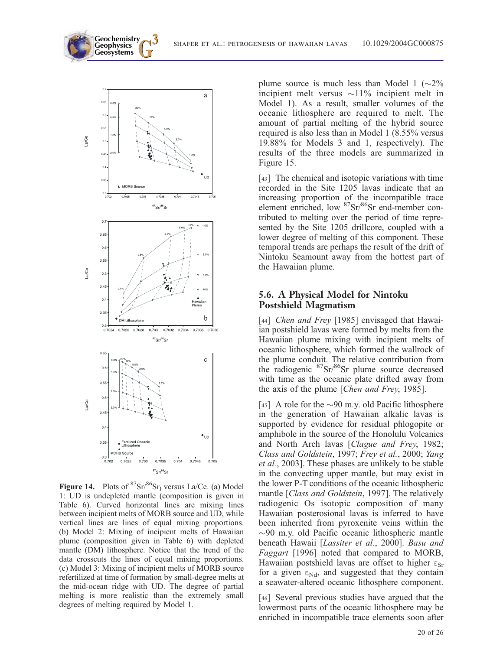

Figure 14. Plots of  ${}^{87}Sr/{}^{86}Sr<sub>I</sub>$  versus La/Ce. (a) Model 1: UD is undepleted mantle (composition is given in Table 6). Curved horizontal lines are mixing lines between incipient melts of MORB source and UD, while vertical lines are lines of equal mixing proportions. (b) Model 2: Mixing of incipient melts of Hawaiian plume (composition given in Table 6) with depleted mantle (DM) lithosphere. Notice that the trend of the data crosscuts the lines of equal mixing proportions. (c) Model 3: Mixing of incipient melts of MORB source refertilized at time of formation by small-degree melts at the mid-ocean ridge with UD. The degree of partial melting is more realistic than the extremely small degrees of melting required by Model 1.

plume source is much less than Model 1 ( $\sim$ 2% incipient melt versus  $\sim$ 11% incipient melt in Model 1). As a result, smaller volumes of the oceanic lithosphere are required to melt. The amount of partial melting of the hybrid source required is also less than in Model 1 (8.55% versus 19.88% for Models 3 and 1, respectively). The results of the three models are summarized in Figure 15.

[43] The chemical and isotopic variations with time recorded in the Site 1205 lavas indicate that an increasing proportion of the incompatible trace element enriched, low 87Sr/86Sr end-member contributed to melting over the period of time represented by the Site 1205 drillcore, coupled with a lower degree of melting of this component. These temporal trends are perhaps the result of the drift of Nintoku Seamount away from the hottest part of the Hawaiian plume.

#### 5.6. A Physical Model for Nintoku Postshield Magmatism

[44] Chen and Frey [1985] envisaged that Hawaiian postshield lavas were formed by melts from the Hawaiian plume mixing with incipient melts of oceanic lithosphere, which formed the wallrock of the plume conduit. The relative contribution from the radiogenic <sup>87</sup>Sr/<sup>86</sup>Sr plume source decreased with time as the oceanic plate drifted away from the axis of the plume [Chen and Frey, 1985].

[45] A role for the  $\sim 90$  m.y. old Pacific lithosphere in the generation of Hawaiian alkalic lavas is supported by evidence for residual phlogopite or amphibole in the source of the Honolulu Volcanics and North Arch lavas [Clague and Frey, 1982; Class and Goldstein, 1997; Frey et al., 2000; Yang et al., 2003]. These phases are unlikely to be stable in the convecting upper mantle, but may exist in the lower P-T conditions of the oceanic lithospheric mantle [Class and Goldstein, 1997]. The relatively radiogenic Os isotopic composition of many Hawaiian posterosional lavas is inferred to have been inherited from pyroxenite veins within the  $\sim$ 90 m.y. old Pacific oceanic lithospheric mantle beneath Hawaii [Lassiter et al., 2000]. Basu and Faggart [1996] noted that compared to MORB, Hawaiian postshield lavas are offset to higher  $\varepsilon_{Sr}$ for a given  $\varepsilon_{Nd}$ , and suggested that they contain a seawater-altered oceanic lithosphere component.

[46] Several previous studies have argued that the lowermost parts of the oceanic lithosphere may be enriched in incompatible trace elements soon after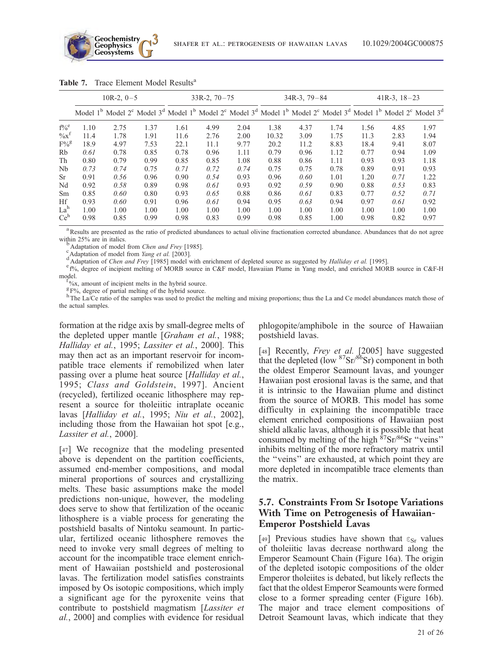

|                    |      | $10R-2, 0-5$ |                                                                                                                                                                                                                                                             |      | $33R-2$ , $70-75$ |      |       | $34R-3$ , $79-84$ |      |      | $41R-3$ , $18-23$ |      |
|--------------------|------|--------------|-------------------------------------------------------------------------------------------------------------------------------------------------------------------------------------------------------------------------------------------------------------|------|-------------------|------|-------|-------------------|------|------|-------------------|------|
|                    |      |              | Model 1 <sup>b</sup> Model 2 <sup>c</sup> Model 3 <sup>d</sup> Model 1 <sup>b</sup> Model 2 <sup>c</sup> Model 3 <sup>d</sup> Model 1 <sup>b</sup> Model 2 <sup>c</sup> Model 3 <sup>d</sup> Model 1 <sup>b</sup> Model 2 <sup>c</sup> Model 3 <sup>d</sup> |      |                   |      |       |                   |      |      |                   |      |
| $f\%$ <sup>e</sup> | 1.10 | 2.75         | 1.37                                                                                                                                                                                                                                                        | 1.61 | 4.99              | 2.04 | 1.38  | 4.37              | 1.74 | 1.56 | 4.85              | 1.97 |
| $\%x^f$            | 11.4 | 1.78         | 1.91                                                                                                                                                                                                                                                        | 11.6 | 2.76              | 2.00 | 10.32 | 3.09              | 1.75 | 11.3 | 2.83              | 1.94 |
| $F\%^g$            | 18.9 | 4.97         | 7.53                                                                                                                                                                                                                                                        | 22.1 | 11.1              | 9.77 | 20.2  | 11.2              | 8.83 | 18.4 | 9.41              | 8.07 |
| Rb                 | 0.61 | 0.78         | 0.85                                                                                                                                                                                                                                                        | 0.78 | 0.96              | 1.11 | 0.79  | 0.96              | 1.12 | 0.77 | 0.94              | 1.09 |
| Th                 | 0.80 | 0.79         | 0.99                                                                                                                                                                                                                                                        | 0.85 | 0.85              | 1.08 | 0.88  | 0.86              | 1.11 | 0.93 | 0.93              | 1.18 |
| Nb                 | 0.73 | 0.74         | 0.75                                                                                                                                                                                                                                                        | 0.71 | 0.72              | 0.74 | 0.75  | 0.75              | 0.78 | 0.89 | 0.91              | 0.93 |
| Sr                 | 0.91 | 0.56         | 0.96                                                                                                                                                                                                                                                        | 0.90 | 0.54              | 0.93 | 0.96  | 0.60              | 1.01 | 1.20 | 0.71              | 1.22 |
| Nd                 | 0.92 | 0.58         | 0.89                                                                                                                                                                                                                                                        | 0.98 | 0.61              | 0.93 | 0.92  | 0.59              | 0.90 | 0.88 | 0.53              | 0.83 |
| Sm                 | 0.85 | 0.60         | 0.80                                                                                                                                                                                                                                                        | 0.93 | 0.65              | 0.88 | 0.86  | 0.61              | 0.83 | 0.77 | 0.52              | 0.71 |
| Hf                 | 0.93 | 0.60         | 0.91                                                                                                                                                                                                                                                        | 0.96 | 0.61              | 0.94 | 0.95  | 0.63              | 0.94 | 0.97 | 0.61              | 0.92 |
| La <sup>h</sup>    | 1.00 | 1.00         | 1.00                                                                                                                                                                                                                                                        | 1.00 | 1.00              | 1.00 | 1.00  | 1.00              | 1.00 | 1.00 | 1.00              | 1.00 |
| Ce <sup>h</sup>    | 0.98 | 0.85         | 0.99                                                                                                                                                                                                                                                        | 0.98 | 0.83              | 0.99 | 0.98  | 0.85              | 1.00 | 0.98 | 0.82              | 0.97 |

Table 7. Trace Element Model Results<sup>a</sup>

<sup>a</sup> Results are presented as the ratio of predicted abundances to actual olivine fractionation corrected abundance. Abundances that do not agree within 25% are in italics.<br>bAdaptation of model from *Chen and Frey* [1985].<br>cAdaptation of model from *Yang et al.* [2003].

Adaptation of Chen and Frey [1985] model with enrichment of depleted source as suggested by Halliday et al. [1995].

e f%, degree of incipient melting of MORB source in C&F model, Hawaiian Plume in Yang model, and enriched MORB source in C&F-H model.

 $\frac{1}{2}$ %x, amount of incipient melts in the hybrid source.

 $\frac{g}{g}$  F%, degree of partial melting of the hybrid source.

hThe La/Ce ratio of the samples was used to predict the melting and mixing proportions; thus the La and Ce model abundances match those of the actual samples.

formation at the ridge axis by small-degree melts of the depleted upper mantle [Graham et al., 1988; Halliday et al., 1995; Lassiter et al., 2000]. This may then act as an important reservoir for incompatible trace elements if remobilized when later passing over a plume heat source [Halliday et al., 1995; Class and Goldstein, 1997]. Ancient (recycled), fertilized oceanic lithosphere may represent a source for tholeiitic intraplate oceanic lavas [Halliday et al., 1995; Niu et al., 2002], including those from the Hawaiian hot spot [e.g., Lassiter et al., 2000].

[47] We recognize that the modeling presented above is dependent on the partition coefficients, assumed end-member compositions, and modal mineral proportions of sources and crystallizing melts. These basic assumptions make the model predictions non-unique, however, the modeling does serve to show that fertilization of the oceanic lithosphere is a viable process for generating the postshield basalts of Nintoku seamount. In particular, fertilized oceanic lithosphere removes the need to invoke very small degrees of melting to account for the incompatible trace element enrichment of Hawaiian postshield and posterosional lavas. The fertilization model satisfies constraints imposed by Os isotopic compositions, which imply a significant age for the pyroxenite veins that contribute to postshield magmatism [Lassiter et al., 2000] and complies with evidence for residual phlogopite/amphibole in the source of Hawaiian postshield lavas.

[48] Recently, *Frey et al.* [2005] have suggested that the depleted (low  ${}^{87}Sr/{}^{86}Sr$ ) component in both the oldest Emperor Seamount lavas, and younger Hawaiian post erosional lavas is the same, and that it is intrinsic to the Hawaiian plume and distinct from the source of MORB. This model has some difficulty in explaining the incompatible trace element enriched compositions of Hawaiian post shield alkalic lavas, although it is possible that heat consumed by melting of the high 87Sr/86Sr ''veins'' inhibits melting of the more refractory matrix until the ''veins'' are exhausted, at which point they are more depleted in incompatible trace elements than the matrix.

#### 5.7. Constraints From Sr Isotope Variations With Time on Petrogenesis of Hawaiian-Emperor Postshield Lavas

[49] Previous studies have shown that  $\varepsilon_{Sr}$  values of tholeiitic lavas decrease northward along the Emperor Seamount Chain (Figure 16a). The origin of the depleted isotopic compositions of the older Emperor tholeiites is debated, but likely reflects the fact that the oldest Emperor Seamounts were formed close to a former spreading center (Figure 16b). The major and trace element compositions of Detroit Seamount lavas, which indicate that they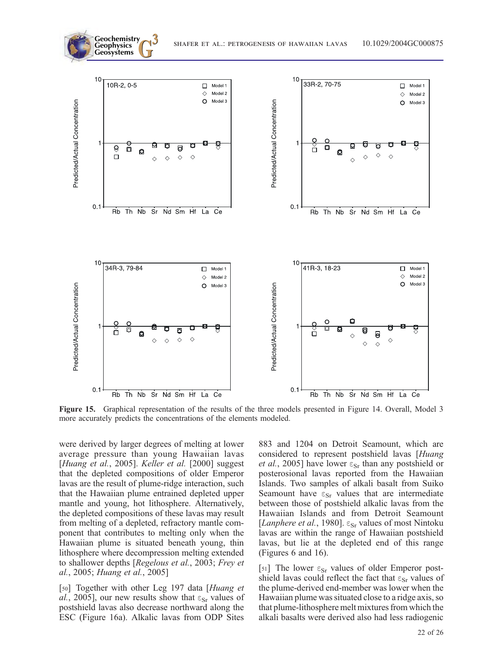

Figure 15. Graphical representation of the results of the three models presented in Figure 14. Overall, Model 3 more accurately predicts the concentrations of the elements modeled.

were derived by larger degrees of melting at lower average pressure than young Hawaiian lavas [Huang et al., 2005]. Keller et al. [2000] suggest that the depleted compositions of older Emperor lavas are the result of plume-ridge interaction, such that the Hawaiian plume entrained depleted upper mantle and young, hot lithosphere. Alternatively, the depleted compositions of these lavas may result from melting of a depleted, refractory mantle component that contributes to melting only when the Hawaiian plume is situated beneath young, thin lithosphere where decompression melting extended to shallower depths [Regelous et al., 2003; Frey et al., 2005; Huang et al., 2005]

[50] Together with other Leg 197 data [Huang et al., 2005], our new results show that  $\varepsilon_{Sr}$  values of postshield lavas also decrease northward along the ESC (Figure 16a). Alkalic lavas from ODP Sites 883 and 1204 on Detroit Seamount, which are considered to represent postshield lavas [Huang *et al.*, 2005] have lower  $\varepsilon_{Sr}$  than any postshield or posterosional lavas reported from the Hawaiian Islands. Two samples of alkali basalt from Suiko Seamount have  $\varepsilon_{Sr}$  values that are intermediate between those of postshield alkalic lavas from the Hawaiian Islands and from Detroit Seamount [Lanphere et al., 1980].  $\varepsilon_{Sr}$  values of most Nintoku lavas are within the range of Hawaiian postshield lavas, but lie at the depleted end of this range (Figures 6 and 16).

[51] The lower  $\varepsilon_{Sr}$  values of older Emperor postshield lavas could reflect the fact that  $\varepsilon_{\rm Sr}$  values of the plume-derived end-member was lower when the Hawaiian plume was situated close to a ridge axis, so that plume-lithosphere melt mixtures from which the alkali basalts were derived also had less radiogenic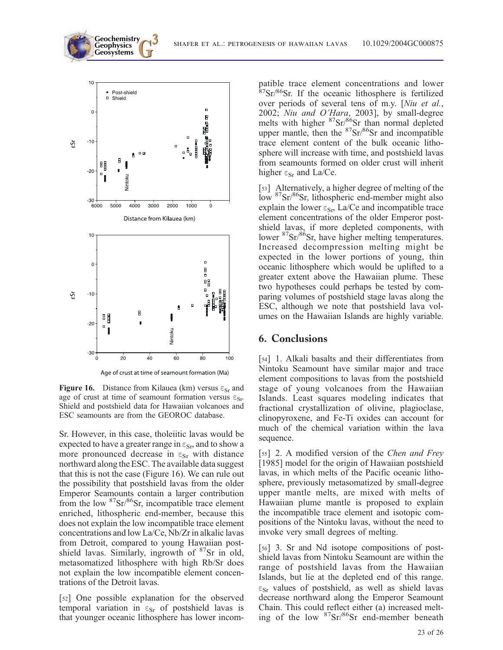

**Geochemistry** Geophysics<br>Geosystems

Age of crust at time of seamount formation (Ma)

**Figure 16.** Distance from Kilauea (km) versus  $\varepsilon_{Sr}$  and age of crust at time of seamount formation versus  $\varepsilon_{Sr}$ . Shield and postshield data for Hawaiian volcanoes and ESC seamounts are from the GEOROC database.

Sr. However, in this case, tholeiitic lavas would be expected to have a greater range in  $\varepsilon_{\rm Sr}$ , and to show a more pronounced decrease in  $\varepsilon_{Sr}$  with distance northward along the ESC. The available data suggest that this is not the case (Figure 16). We can rule out the possibility that postshield lavas from the older Emperor Seamounts contain a larger contribution from the low  ${}^{87}Sr/{}^{86}Sr$ , incompatible trace element enriched, lithospheric end-member, because this does not explain the low incompatible trace element concentrations and low La/Ce, Nb/Zr in alkalic lavas from Detroit, compared to young Hawaiian postshield lavas. Similarly, ingrowth of  $87$ Sr in old, metasomatized lithosphere with high Rb/Sr does not explain the low incompatible element concentrations of the Detroit lavas.

[52] One possible explanation for the observed temporal variation in  $\varepsilon_{Sr}$  of postshield lavas is that younger oceanic lithosphere has lower incompatible trace element concentrations and lower 87Sr/86Sr. If the oceanic lithosphere is fertilized over periods of several tens of m.y. [Niu et al., 2002; Niu and O'Hara, 2003], by small-degree melts with higher <sup>87</sup>Sr/<sup>86</sup>Sr than normal depleted upper mantle, then the  ${}^{87}Sr/{}^{86}Sr$  and incompatible trace element content of the bulk oceanic lithosphere will increase with time, and postshield lavas from seamounts formed on older crust will inherit higher  $\epsilon_{Sr}$  and La/Ce.

[53] Alternatively, a higher degree of melting of the low 87Sr/86Sr, lithospheric end-member might also explain the lower  $\varepsilon_{\text{Sr}}$ , La/Ce and incompatible trace element concentrations of the older Emperor postshield lavas, if more depleted components, with lower <sup>87</sup>Sr/<sup>86</sup>Sr, have higher melting temperatures. Increased decompression melting might be expected in the lower portions of young, thin oceanic lithosphere which would be uplifted to a greater extent above the Hawaiian plume. These two hypotheses could perhaps be tested by comparing volumes of postshield stage lavas along the ESC, although we note that postshield lava volumes on the Hawaiian Islands are highly variable.

#### 6. Conclusions

[54] 1. Alkali basalts and their differentiates from Nintoku Seamount have similar major and trace element compositions to lavas from the postshield stage of young volcanoes from the Hawaiian Islands. Least squares modeling indicates that fractional crystallization of olivine, plagioclase, clinopyroxene, and Fe-Ti oxides can account for much of the chemical variation within the lava sequence.

[55] 2. A modified version of the Chen and Frey [1985] model for the origin of Hawaiian postshield lavas, in which melts of the Pacific oceanic lithosphere, previously metasomatized by small-degree upper mantle melts, are mixed with melts of Hawaiian plume mantle is proposed to explain the incompatible trace element and isotopic compositions of the Nintoku lavas, without the need to invoke very small degrees of melting.

[56] 3. Sr and Nd isotope compositions of postshield lavas from Nintoku Seamount are within the range of postshield lavas from the Hawaiian Islands, but lie at the depleted end of this range.  $\varepsilon_{Sr}$  values of postshield, as well as shield lavas decrease northward along the Emperor Seamount Chain. This could reflect either (a) increased melting of the low <sup>87</sup>Sr/<sup>86</sup>Sr end-member beneath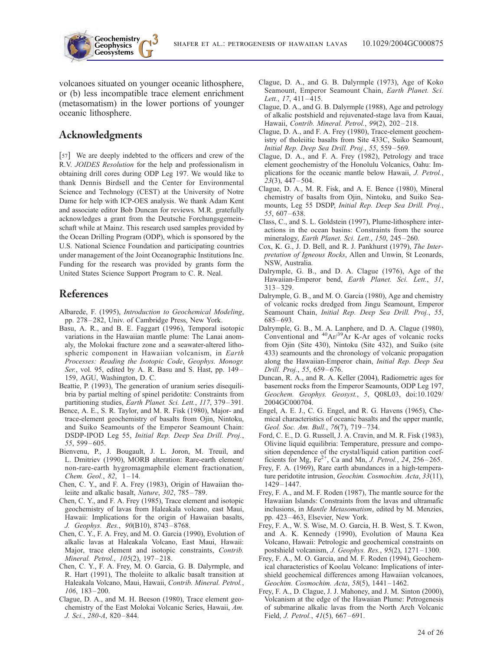**Geosystems G3** shafer et al.: petrogenesis of hawaiian lavas 10.1029/2004GC000875

volcanoes situated on younger oceanic lithosphere, or (b) less incompatible trace element enrichment (metasomatism) in the lower portions of younger oceanic lithosphere.

# Acknowledgments

**Geochemistry Geophysics**

[57] We are deeply indebted to the officers and crew of the R.V. JOIDES Resolution for the help and professionalism in obtaining drill cores during ODP Leg 197. We would like to thank Dennis Birdsell and the Center for Environmental Science and Technology (CEST) at the University of Notre Dame for help with ICP-OES analysis. We thank Adam Kent and associate editor Bob Duncan for reviews. M.R. gratefully acknowledges a grant from the Deutsche Forchungsgemeinschaft while at Mainz. This research used samples provided by the Ocean Drilling Program (ODP), which is sponsored by the U.S. National Science Foundation and participating countries under management of the Joint Oceanographic Institutions Inc. Funding for the research was provided by grants form the United States Science Support Program to C. R. Neal.

## References

- Albarede, F. (1995), Introduction to Geochemical Modeling, pp. 278 – 282, Univ. of Cambridge Press, New York.
- Basu, A. R., and B. E. Faggart (1996), Temporal isotopic variations in the Hawaiian mantle plume: The Lanai anomaly, the Molokai fracture zone and a seawater-altered lithospheric component in Hawaiian volcanism, in Earth Processes: Reading the Isotopic Code, Geophys. Monogr. Ser., vol. 95, edited by A. R. Basu and S. Hast, pp. 149– 159, AGU, Washington, D. C.
- Beattie, P. (1993), The generation of uranium series disequilibria by partial melting of spinel peridotite: Constraints from partitioning studies, Earth Planet. Sci. Lett., 117, 379-391.
- Bence, A. E., S. R. Taylor, and M. R. Fisk (1980), Major- and trace-element geochemistry of basalts from Ojin, Nintoku, and Suiko Seamounts of the Emperor Seamount Chain: DSDP-IPOD Leg 55, Initial Rep. Deep Sea Drill. Proj., 55, 599 – 605.
- Bienvenu, P., J. Bougault, J. L. Joron, M. Treuil, and L. Dmitriev (1990), MORB alteration: Rare-earth element/ non-rare-earth hygromagmaphile element fractionation, Chem. Geol., 82, 1-14.
- Chen, C. Y., and F. A. Frey (1983), Origin of Hawaiian tholeiite and alkalic basalt, Nature, 302, 785 – 789.
- Chen, C. Y., and F. A. Frey (1985), Trace element and isotopic geochemistry of lavas from Haleakala volcano, east Maui, Hawaii: Implications for the origin of Hawaiian basalts, J. Geophys. Res., 90(B10), 8743 – 8768.
- Chen, C. Y., F. A. Frey, and M. O. Garcia (1990), Evolution of alkalic lavas at Haleakala Volcano, East Maui, Hawaii: Major, trace element and isotopic constraints, Contrib. Mineral. Petrol., 105(2), 197-218.
- Chen, C. Y., F. A. Frey, M. O. Garcia, G. B. Dalyrmple, and R. Hart (1991), The tholeiite to alkalic basalt transition at Haleakala Volcano, Maui, Hawaii, Contrib. Mineral. Petrol., 106, 183 – 200.
- Clague, D. A., and M. H. Beeson (1980), Trace element geochemistry of the East Molokai Volcanic Series, Hawaii, Am. J. Sci., 280-A, 820 – 844.
- Clague, D. A., and G. B. Dalyrmple (1973), Age of Koko Seamount, Emperor Seamount Chain, Earth Planet. Sci. Lett., 17, 411-415.
- Clague, D. A., and G. B. Dalyrmple (1988), Age and petrology of alkalic postshield and rejuvenated-stage lava from Kauai, Hawaii, Contrib. Mineral. Petrol., 99(2), 202 – 218.
- Clague, D. A., and F. A. Frey (1980), Trace-element geochemistry of tholeiitic basalts from Site 433C, Suiko Seamount, Initial Rep. Deep Sea Drill. Proj., 55, 559 – 569.
- Clague, D. A., and F. A. Frey (1982), Petrology and trace element geochemistry of the Honolulu Volcanics, Oahu: Implications for the oceanic mantle below Hawaii, J. Petrol., 23(3), 447 – 504.
- Clague, D. A., M. R. Fisk, and A. E. Bence (1980), Mineral chemistry of basalts from Ojin, Nintoku, and Suiko Seamounts, Leg 55 DSDP, Initial Rep. Deep Sea Drill. Proj., 55, 607 – 638.
- Class, C., and S. L. Goldstein (1997), Plume-lithosphere interactions in the ocean basins: Constraints from the source mineralogy, Earth Planet. Sci. Lett., 150, 245-260.
- Cox, K. G., J. D. Bell, and R. J. Pankhurst (1979), The Interpretation of Igneous Rocks, Allen and Unwin, St Leonards, NSW, Australia.
- Dalrymple, G. B., and D. A. Clague (1976), Age of the Hawaiian-Emperor bend, Earth Planet. Sci. Lett., 31, 313 – 329.
- Dalrymple, G. B., and M. O. Garcia (1980), Age and chemistry of volcanic rocks dredged from Jingu Seamount, Emperor Seamount Chain, Initial Rep. Deep Sea Drill. Proj., 55, 685 – 693.
- Dalrymple, G. B., M. A. Lanphere, and D. A. Clague (1980), Conventional and  ${}^{40}Ar/{}^{39}Ar$  K-Ar ages of volcanic rocks from Ojin (Site 430), Nintoku (Site 432), and Suiko (site 433) seamounts and the chronology of volcanic propagation along the Hawaiian-Emperor chain, Initial Rep. Deep Sea Drill. Proj., 55, 659 – 676.
- Duncan, R. A., and R. A. Keller (2004), Radiometric ages for basement rocks from the Emperor Seamounts, ODP Leg 197, Geochem. Geophys. Geosyst., 5, Q08L03, doi:10.1029/ 2004GC000704.
- Engel, A. E. J., C. G. Engel, and R. G. Havens (1965), Chemical characteristics of oceanic basalts and the upper mantle, Geol. Soc. Am. Bull., 76(7), 719-734.
- Ford, C. E., D. G. Russell, J. A. Cravin, and M. R. Fisk (1983), Olivine liquid equilibria: Temperature, pressure and composition dependence of the crystal/liquid cation partition coefficients for Mg,  $Fe^{2+}$ , Ca and Mn, *J. Petrol.*, 24, 256–265.
- Frey, F. A. (1969), Rare earth abundances in a high-temperature peridotite intrusion, Geochim. Cosmochim. Acta, 33(11), 1429 – 1447.
- Frey, F. A., and M. F. Roden (1987), The mantle source for the Hawaiian Islands: Constraints from the lavas and ultramafic inclusions, in Mantle Metasomatism, edited by M. Menzies, pp. 423 – 463, Elsevier, New York.
- Frey, F. A., W. S. Wise, M. O. Garcia, H. B. West, S. T. Kwon, and A. K. Kennedy (1990), Evolution of Mauna Kea Volcano, Hawaii: Petrologic and geochemical constraints on postshield volcanism, *J. Geophys. Res.*,  $95(2)$ ,  $1271 - 1300$ .
- Frey, F. A., M. O. Garcia, and M. F. Roden (1994), Geochemical characteristics of Koolau Volcano: Implications of intershield geochemical differences among Hawaiian volcanoes, Geochim. Cosmochim. Acta, 58(5), 1441 – 1462.
- Frey, F. A., D. Clague, J. J. Mahoney, and J. M. Sinton (2000), Volcanism at the edge of the Hawaiian Plume: Petrogenesis of submarine alkalic lavas from the North Arch Volcanic Field, *J. Petrol.*, 41(5), 667–691.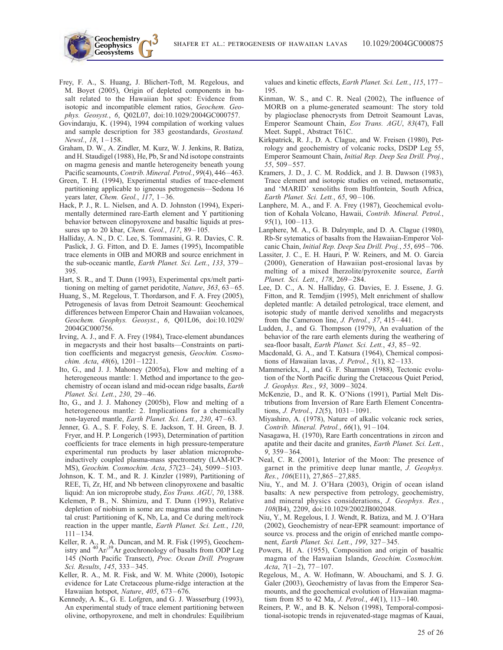Frey, F. A., S. Huang, J. Blichert-Toft, M. Regelous, and M. Boyet (2005), Origin of depleted components in basalt related to the Hawaiian hot spot: Evidence from isotopic and incompatible element ratios, Geochem. Geophys. Geosyst., 6, Q02L07, doi:10.1029/2004GC000757.

**Geochemistry Geophysics**

- Govindaraju, K. (1994), 1994 compilation of working values and sample description for 383 geostandards, Geostand. Newsl., 18, 1-158.
- Graham, D. W., A. Zindler, M. Kurz, W. J. Jenkins, R. Batiza, and H. Staudigel (1988), He, Pb, Sr and Nd isotope constraints on magma genesis and mantle heterogeneity beneath young Pacific seamounts, Contrib. Mineral. Petrol., 99(4), 446-463.
- Green, T. H. (1994), Experimental studies of trace-element partitioning applicable to igneous petrogenesis—Sedona 16 years later, Chem. Geol.,  $117$ ,  $1-36$ .
- Hack, P. J., R. L. Nielsen, and A. D. Johnston (1994), Experimentally determined rare-Earth element and Y partitioning behavior between clinopyroxene and basaltic liquids at pressures up to 20 kbar, *Chem. Geol.*, 117, 89-105.
- Halliday, A. N., D. C. Lee, S. Tommasini, G. R. Davies, C. R. Paslick, J. G. Fitton, and D. E. James (1995), Incompatible trace elements in OIB and MORB and source enrichment in the sub-oceanic mantle, Earth Planet. Sci. Lett., 133, 379-395.
- Hart, S. R., and T. Dunn (1993), Experimental cpx/melt partitioning on melting of garnet peridotite, Nature, 363, 63–65.
- Huang, S., M. Regelous, T. Thordarson, and F. A. Frey (2005), Petrogenesis of lavas from Detroit Seamount: Geochemical differences between Emperor Chain and Hawaiian volcanoes, Geochem. Geophys. Geosyst., 6, Q01L06, doi:10.1029/ 2004GC000756.
- Irving, A. J., and F. A. Frey (1984), Trace-element abundances in megacrysts and their host basalts—Constraints on partition coefficients and megacryst genesis, Geochim. Cosmochim. Acta, 48(6), 1201-1221.
- Ito, G., and J. J. Mahoney (2005a), Flow and melting of a heterogeneous mantle: 1. Method and importance to the geochemistry of ocean island and mid-ocean ridge basalts, Earth Planet. Sci. Lett., 230, 29 – 46.
- Ito, G., and J. J. Mahoney (2005b), Flow and melting of a heterogeneous mantle: 2. Implications for a chemically non-layered mantle, Earth Planet. Sci. Lett., 230, 47-63.
- Jenner, G. A., S. F. Foley, S. E. Jackson, T. H. Green, B. J. Fryer, and H. P. Longerich (1993), Determination of partition coefficients for trace elements in high pressure-temperature experimental run products by laser ablation microprobeinductively coupled plasma-mass spectrometry (LAM-ICP-MS), Geochim. Cosmochim. Acta, 57(23 – 24), 5099 – 5103.
- Johnson, K. T. M., and R. J. Kinzler (1989), Partitioning of REE, Ti, Zr, Hf, and Nb between clinopyroxene and basaltic liquid: An ion microprobe study, Eos Trans. AGU, 70, 1388.
- Kelemen, P. B., N. Shimizu, and T. Dunn (1993), Relative depletion of niobium in some arc magmas and the continental crust: Partitioning of K, Nb, La, and Ce during melt/rock reaction in the upper mantle, Earth Planet. Sci. Lett., 120,  $111 - 134$ .
- Keller, R. A., R. A. Duncan, and M. R. Fisk (1995), Geochemistry and  ${}^{40}Ar/{}^{39}Ar$  geochronology of basalts from ODP Leg 145 (North Pacific Transect), Proc. Ocean Drill. Program Sci. Results, 145, 333 – 345.
- Keller, R. A., M. R. Fisk, and W. M. White (2000), Isotopic evidence for Late Cretaceous plume-ridge interaction at the Hawaiian hotspot, Nature, 405, 673-676.
- Kennedy, A. K., G. E. Lofgren, and G. J. Wasserburg (1993), An experimental study of trace element partitioning between olivine, orthopyroxene, and melt in chondrules: Equilibrium

values and kinetic effects, Earth Planet. Sci. Lett., 115, 177-195.

- Kinman, W. S., and C. R. Neal (2002), The influence of MORB on a plume-generated seamount: The story told by plagioclase phenocrysts from Detroit Seamount Lavas, Emperor Seamount Chain, Eos Trans. AGU, 83(47), Fall Meet. Suppl., Abstract T61C.
- Kirkpatrick, R. J., D. A. Clague, and W. Freisen (1980), Petrology and geochemistry of volcanic rocks, DSDP Leg 55, Emperor Seamount Chain, Initial Rep. Deep Sea Drill. Proj., 55, 509 – 557.
- Kramers, J. D., J. C. M. Roddick, and J. B. Dawson (1983), Trace element and isotopic studies on veined, metasomatic, and 'MARID' xenoliths from Bultfontein, South Africa, Earth Planet. Sci. Lett., 65, 90-106.
- Lanphere, M. A., and F. A. Frey (1987), Geochemical evolution of Kohala Volcano, Hawaii, Contrib. Mineral. Petrol.,  $95(1)$ ,  $100 - 113$ .
- Lanphere, M. A., G. B. Dalrymple, and D. A. Clague (1980), Rb-Sr sytematics of basalts from the Hawaiian-Emperor Volcanic Chain, Initial Rep. Deep Sea Drill. Proj., 55, 695-706.
- Lassiter, J. C., E. H. Hauri, P. W. Reiners, and M. O. Garcia (2000), Generation of Hawaiian post-erosional lavas by melting of a mixed lherzolite/pyroxenite source, Earth Planet. Sci. Lett., 178, 269-284.
- Lee, D. C., A. N. Halliday, G. Davies, E. J. Essene, J. G. Fitton, and R. Temdjim (1995), Melt enrichment of shallow depleted mantle: A detailed petrological, trace element, and isotopic study of mantle derived xenoliths and megacrysts from the Cameroon line, *J. Petrol.*, 37, 415-441.
- Ludden, J., and G. Thompson (1979), An evaluation of the behavior of the rare earth elements during the weathering of sea-floor basalt, Earth Planet. Sci. Lett., 43, 85-92.
- Macdonald, G. A., and T. Katsura (1964), Chemical compositions of Hawaiian lavas, *J. Petrol.*,  $5(1)$ ,  $82-133$ .
- Mammerickx, J., and G. F. Sharman (1988), Tectonic evolution of the North Pacific during the Cretaceous Quiet Period, J. Geophys. Res., 93, 3009 – 3024.
- McKenzie, D., and R. K. O'Nions (1991), Partial Melt Distributions from Inversion of Rare Earth Element Concentrations, J. Petrol., 12(5), 1031 – 1091.
- Miyashiro, A. (1978), Nature of alkalic volcanic rock series, Contrib. Mineral. Petrol., 66(1), 91 – 104.
- Nasagawa, H. (1970), Rare Earth concentrations in zircon and apatite and their dacite and granites, Earth Planet. Sci. Lett., 9, 359 – 364.
- Neal, C. R. (2001), Interior of the Moon: The presence of garnet in the primitive deep lunar mantle,  $\overline{J}$ . Geophys. Res., 106(E11), 27,865-27,885.
- Niu, Y., and M. J. O'Hara (2003), Origin of ocean island basalts: A new perspective from petrology, geochemistry, and mineral physics considerations, J. Geophys. Res., 108(B4), 2209, doi:10.1029/2002JB002048.
- Niu, Y., M. Regelous, I. J. Wendt, R. Batiza, and M. J. O'Hara (2002), Geochemistry of near-EPR seamount: importance of source vs. process and the origin of enriched mantle component, Earth Planet. Sci. Lett., 199, 327 – 345.
- Powers, H. A. (1955), Composition and origin of basaltic magma of the Hawaiian Islands, Geochim. Cosmochim. Acta,  $7(1-2)$ ,  $77-107$ .
- Regelous, M., A. W. Hofmann, W. Abouchami, and S. J. G. Galer (2003), Geochemistry of lavas from the Emperor Seamounts, and the geochemical evolution of Hawaiian magmatism from 85 to 42 Ma, *J. Petrol.*,  $44(1)$ ,  $113-140$ .
- Reiners, P. W., and B. K. Nelson (1998), Temporal-compositional-isotopic trends in rejuvenated-stage magmas of Kauai,